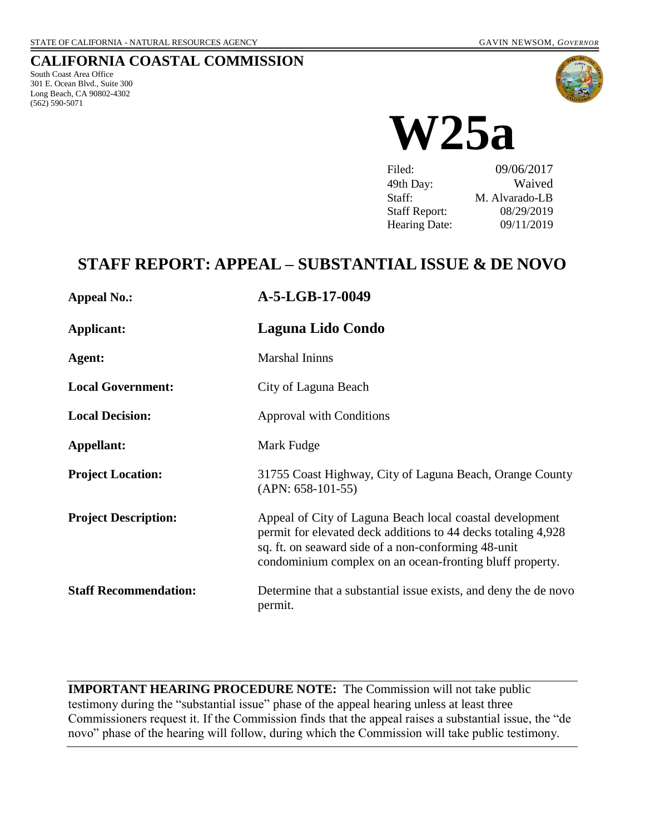## **CALIFORNIA COASTAL COMMISSION**

South Coast Area Office 301 E. Ocean Blvd., Suite 300 Long Beach, CA 90802-4302 (562) 590-5071



**W25a**

| Filed:               | 09/06/2017     |
|----------------------|----------------|
| 49th Day:            | Waived         |
| Staff:               | M. Alvarado-LB |
| <b>Staff Report:</b> | 08/29/2019     |
| <b>Hearing Date:</b> | 09/11/2019     |

# **STAFF REPORT: APPEAL – SUBSTANTIAL ISSUE & DE NOVO**

| <b>Appeal No.:</b>           | A-5-LGB-17-0049                                                                                                                                                                                                                              |
|------------------------------|----------------------------------------------------------------------------------------------------------------------------------------------------------------------------------------------------------------------------------------------|
| Applicant:                   | Laguna Lido Condo                                                                                                                                                                                                                            |
| Agent:                       | <b>Marshal Ininns</b>                                                                                                                                                                                                                        |
| <b>Local Government:</b>     | City of Laguna Beach                                                                                                                                                                                                                         |
| <b>Local Decision:</b>       | <b>Approval with Conditions</b>                                                                                                                                                                                                              |
| Appellant:                   | Mark Fudge                                                                                                                                                                                                                                   |
| <b>Project Location:</b>     | 31755 Coast Highway, City of Laguna Beach, Orange County<br>$(APN: 658-101-55)$                                                                                                                                                              |
| <b>Project Description:</b>  | Appeal of City of Laguna Beach local coastal development<br>permit for elevated deck additions to 44 decks totaling 4,928<br>sq. ft. on seaward side of a non-conforming 48-unit<br>condominium complex on an ocean-fronting bluff property. |
| <b>Staff Recommendation:</b> | Determine that a substantial issue exists, and deny the de novo<br>permit.                                                                                                                                                                   |

**IMPORTANT HEARING PROCEDURE NOTE:** The Commission will not take public testimony during the "substantial issue" phase of the appeal hearing unless at least three Commissioners request it. If the Commission finds that the appeal raises a substantial issue, the "de novo" phase of the hearing will follow, during which the Commission will take public testimony.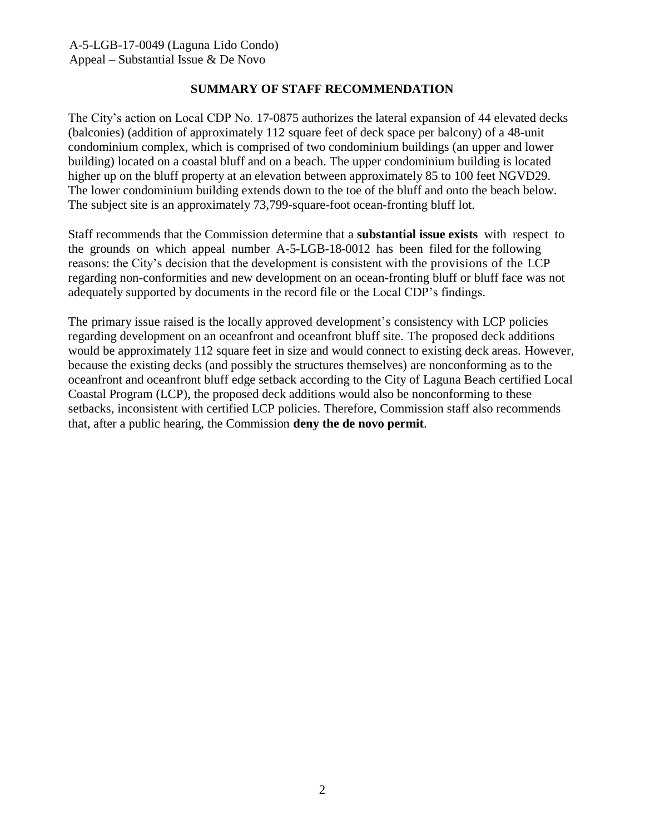### **SUMMARY OF STAFF RECOMMENDATION**

The City's action on Local CDP No. 17-0875 authorizes the lateral expansion of 44 elevated decks (balconies) (addition of approximately 112 square feet of deck space per balcony) of a 48-unit condominium complex, which is comprised of two condominium buildings (an upper and lower building) located on a coastal bluff and on a beach. The upper condominium building is located higher up on the bluff property at an elevation between approximately 85 to 100 feet NGVD29. The lower condominium building extends down to the toe of the bluff and onto the beach below. The subject site is an approximately 73,799-square-foot ocean-fronting bluff lot.

Staff recommends that the Commission determine that a **substantial issue exists** with respect to the grounds on which appeal number A-5-LGB-18-0012 has been filed for the following reasons: the City's decision that the development is consistent with the provisions of the LCP regarding non-conformities and new development on an ocean-fronting bluff or bluff face was not adequately supported by documents in the record file or the Local CDP's findings.

The primary issue raised is the locally approved development's consistency with LCP policies regarding development on an oceanfront and oceanfront bluff site. The proposed deck additions would be approximately 112 square feet in size and would connect to existing deck areas. However, because the existing decks (and possibly the structures themselves) are nonconforming as to the oceanfront and oceanfront bluff edge setback according to the City of Laguna Beach certified Local Coastal Program (LCP), the proposed deck additions would also be nonconforming to these setbacks, inconsistent with certified LCP policies. Therefore, Commission staff also recommends that, after a public hearing, the Commission **deny the de novo permit**.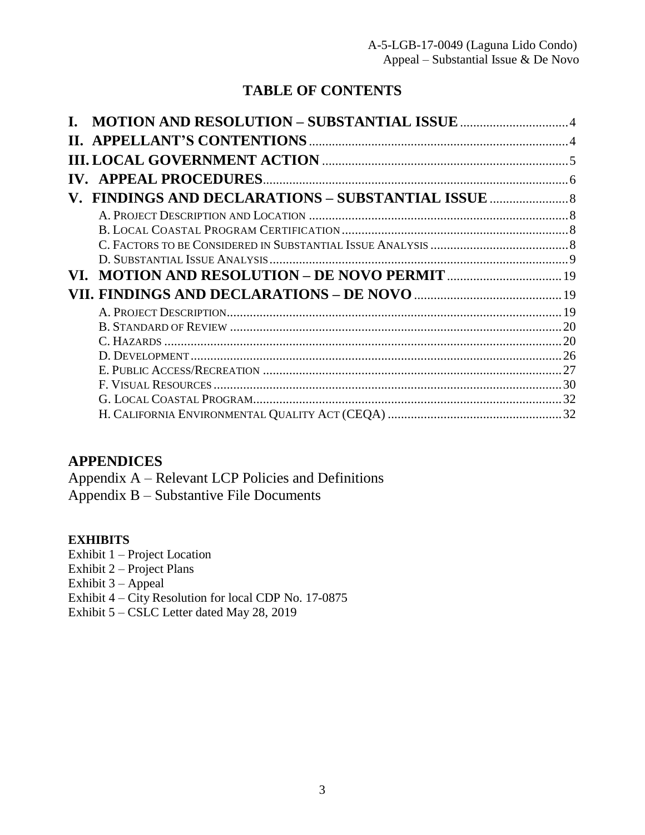# **TABLE OF CONTENTS**

| V. FINDINGS AND DECLARATIONS – SUBSTANTIAL ISSUE |    |
|--------------------------------------------------|----|
|                                                  |    |
|                                                  |    |
|                                                  |    |
|                                                  |    |
| VL.                                              |    |
|                                                  |    |
|                                                  | 19 |
|                                                  | 20 |
|                                                  |    |
|                                                  |    |
|                                                  |    |
|                                                  | 30 |
|                                                  |    |
|                                                  |    |

# **APPENDICES**

Appendix A – [Relevant LCP Policies and Definitions](#page-32-0) Appendix B – [Substantive File Documents](#page-36-0)

## **EXHIBITS**

Exhibit 1 – Project Location

Exhibit 2 – Project Plans

Exhibit 3 – Appeal

Exhibit 4 – City Resolution for local CDP No. 17-0875

Exhibit 5 – [CSLC Letter dated May 28, 2019](https://documents.coastal.ca.gov/reports/2019/9/W25a/W25a-9-2019-exhibits.pdf)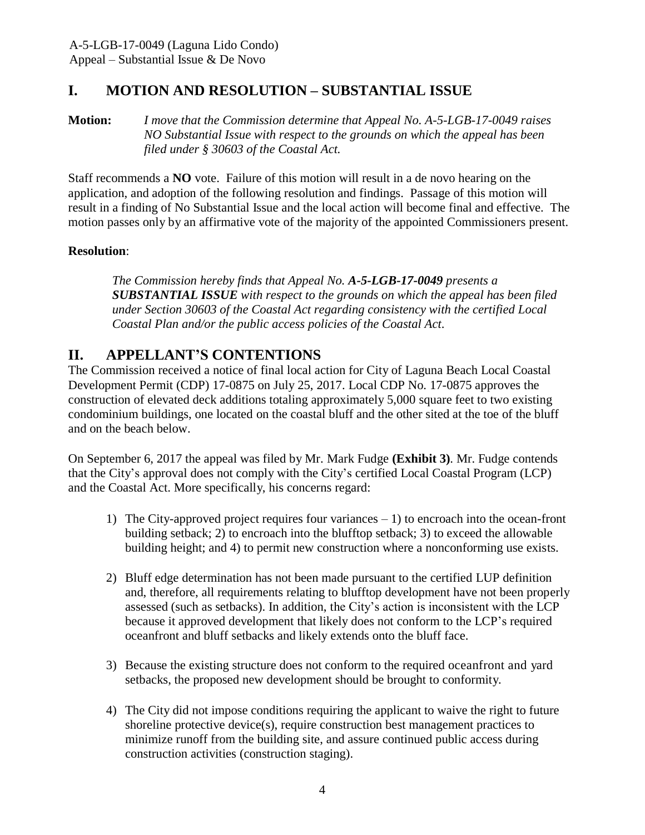# <span id="page-3-0"></span>**I. MOTION AND RESOLUTION – SUBSTANTIAL ISSUE**

**Motion:** *I move that the Commission determine that Appeal No. A-5-LGB-17-0049 raises NO Substantial Issue with respect to the grounds on which the appeal has been filed under § 30603 of the Coastal Act.*

Staff recommends a **NO** vote. Failure of this motion will result in a de novo hearing on the application, and adoption of the following resolution and findings. Passage of this motion will result in a finding of No Substantial Issue and the local action will become final and effective. The motion passes only by an affirmative vote of the majority of the appointed Commissioners present.

### **Resolution**:

*The Commission hereby finds that Appeal No. A-5-LGB-17-0049 presents a SUBSTANTIAL ISSUE with respect to the grounds on which the appeal has been filed under Section 30603 of the Coastal Act regarding consistency with the certified Local Coastal Plan and/or the public access policies of the Coastal Act*.

# <span id="page-3-1"></span>**II. APPELLANT'S CONTENTIONS**

The Commission received a notice of final local action for City of Laguna Beach Local Coastal Development Permit (CDP) 17-0875 on July 25, 2017. Local CDP No. 17-0875 approves the construction of elevated deck additions totaling approximately 5,000 square feet to two existing condominium buildings, one located on the coastal bluff and the other sited at the toe of the bluff and on the beach below.

On September 6, 2017 the appeal was filed by Mr. Mark Fudge **[\(Exhibit 3\)](https://documents.coastal.ca.gov/reports/2019/9/W25a/W25a-9-2019-exhibits.pdf)**. Mr. Fudge contends that the City's approval does not comply with the City's certified Local Coastal Program (LCP) and the Coastal Act. More specifically, his concerns regard:

- 1) The City-approved project requires four variances 1) to encroach into the ocean-front building setback; 2) to encroach into the blufftop setback; 3) to exceed the allowable building height; and 4) to permit new construction where a nonconforming use exists.
- 2) Bluff edge determination has not been made pursuant to the certified LUP definition and, therefore, all requirements relating to blufftop development have not been properly assessed (such as setbacks). In addition, the City's action is inconsistent with the LCP because it approved development that likely does not conform to the LCP's required oceanfront and bluff setbacks and likely extends onto the bluff face.
- 3) Because the existing structure does not conform to the required oceanfront and yard setbacks, the proposed new development should be brought to conformity.
- 4) The City did not impose conditions requiring the applicant to waive the right to future shoreline protective device(s), require construction best management practices to minimize runoff from the building site, and assure continued public access during construction activities (construction staging).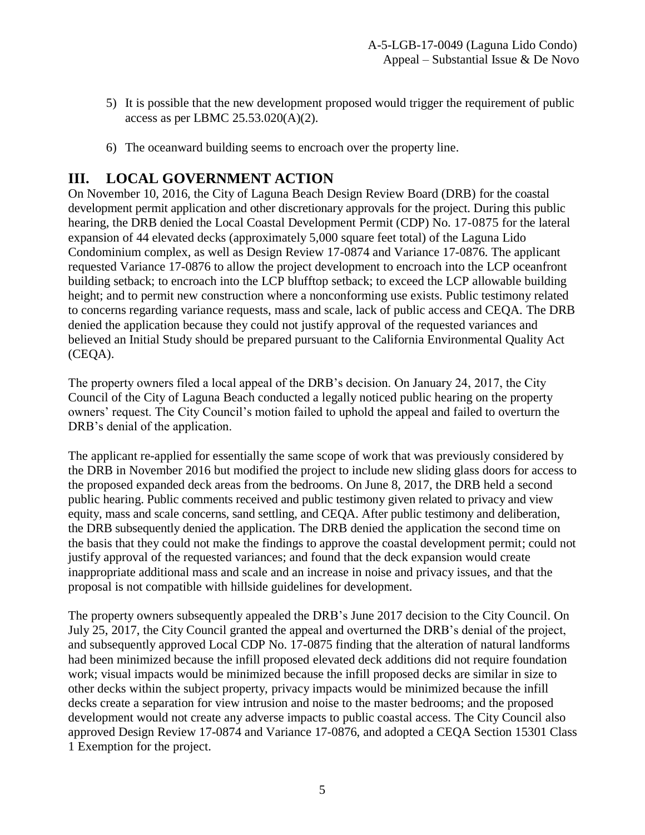- 5) It is possible that the new development proposed would trigger the requirement of public access as per LBMC 25.53.020(A)(2).
- 6) The oceanward building seems to encroach over the property line.

# <span id="page-4-0"></span>**III. LOCAL GOVERNMENT ACTION**

On November 10, 2016, the City of Laguna Beach Design Review Board (DRB) for the coastal development permit application and other discretionary approvals for the project. During this public hearing, the DRB denied the Local Coastal Development Permit (CDP) No. 17-0875 for the lateral expansion of 44 elevated decks (approximately 5,000 square feet total) of the Laguna Lido Condominium complex, as well as Design Review 17-0874 and Variance 17-0876. The applicant requested Variance 17-0876 to allow the project development to encroach into the LCP oceanfront building setback; to encroach into the LCP blufftop setback; to exceed the LCP allowable building height; and to permit new construction where a nonconforming use exists. Public testimony related to concerns regarding variance requests, mass and scale, lack of public access and CEQA. The DRB denied the application because they could not justify approval of the requested variances and believed an Initial Study should be prepared pursuant to the California Environmental Quality Act (CEQA).

The property owners filed a local appeal of the DRB's decision. On January 24, 2017, the City Council of the City of Laguna Beach conducted a legally noticed public hearing on the property owners' request. The City Council's motion failed to uphold the appeal and failed to overturn the DRB's denial of the application.

The applicant re-applied for essentially the same scope of work that was previously considered by the DRB in November 2016 but modified the project to include new sliding glass doors for access to the proposed expanded deck areas from the bedrooms. On June 8, 2017, the DRB held a second public hearing. Public comments received and public testimony given related to privacy and view equity, mass and scale concerns, sand settling, and CEQA. After public testimony and deliberation, the DRB subsequently denied the application. The DRB denied the application the second time on the basis that they could not make the findings to approve the coastal development permit; could not justify approval of the requested variances; and found that the deck expansion would create inappropriate additional mass and scale and an increase in noise and privacy issues, and that the proposal is not compatible with hillside guidelines for development.

The property owners subsequently appealed the DRB's June 2017 decision to the City Council. On July 25, 2017, the City Council granted the appeal and overturned the DRB's denial of the project, and subsequently approved Local CDP No. 17-0875 finding that the alteration of natural landforms had been minimized because the infill proposed elevated deck additions did not require foundation work; visual impacts would be minimized because the infill proposed decks are similar in size to other decks within the subject property, privacy impacts would be minimized because the infill decks create a separation for view intrusion and noise to the master bedrooms; and the proposed development would not create any adverse impacts to public coastal access. The City Council also approved Design Review 17-0874 and Variance 17-0876, and adopted a CEQA Section 15301 Class 1 Exemption for the project.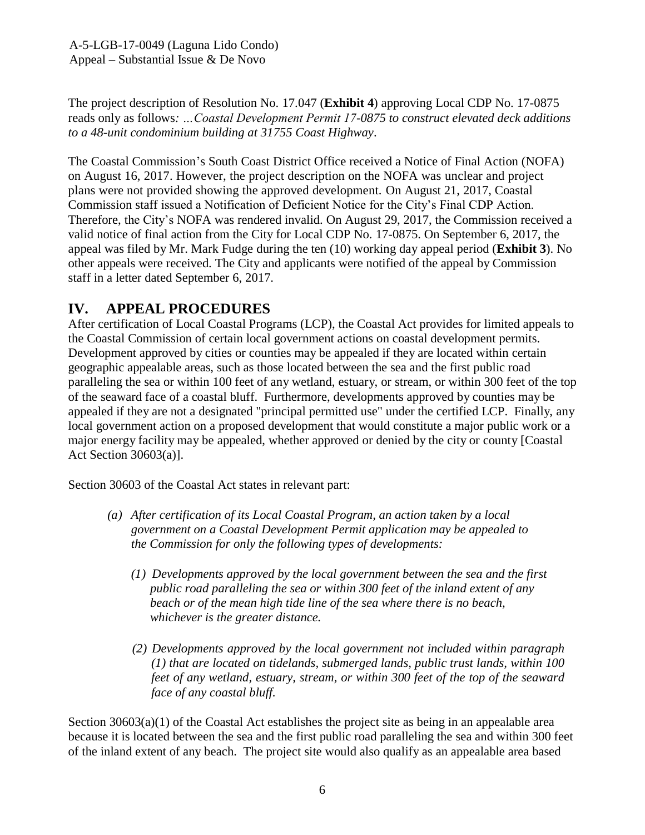The project description of Resolution No. 17.047 (**[Exhibit 4](https://documents.coastal.ca.gov/reports/2019/9/W25a/W25a-9-2019-exhibits.pdf)**) approving Local CDP No. 17-0875 reads only as follows*: …Coastal Development Permit 17-0875 to construct elevated deck additions to a 48-unit condominium building at 31755 Coast Highway*.

The Coastal Commission's South Coast District Office received a Notice of Final Action (NOFA) on August 16, 2017. However, the project description on the NOFA was unclear and project plans were not provided showing the approved development. On August 21, 2017, Coastal Commission staff issued a Notification of Deficient Notice for the City's Final CDP Action. Therefore, the City's NOFA was rendered invalid. On August 29, 2017, the Commission received a valid notice of final action from the City for Local CDP No. 17-0875. On September 6, 2017, the appeal was filed by Mr. Mark Fudge during the ten (10) working day appeal period (**[Exhibit 3](https://documents.coastal.ca.gov/reports/2019/9/W25a/W25a-9-2019-exhibits.pdf)**). No other appeals were received. The City and applicants were notified of the appeal by Commission staff in a letter dated September 6, 2017.

# <span id="page-5-0"></span>**IV. APPEAL PROCEDURES**

After certification of Local Coastal Programs (LCP), the Coastal Act provides for limited appeals to the Coastal Commission of certain local government actions on coastal development permits. Development approved by cities or counties may be appealed if they are located within certain geographic appealable areas, such as those located between the sea and the first public road paralleling the sea or within 100 feet of any wetland, estuary, or stream, or within 300 feet of the top of the seaward face of a coastal bluff. Furthermore, developments approved by counties may be appealed if they are not a designated "principal permitted use" under the certified LCP. Finally, any local government action on a proposed development that would constitute a major public work or a major energy facility may be appealed, whether approved or denied by the city or county [Coastal Act Section 30603(a)].

Section 30603 of the Coastal Act states in relevant part:

- *(a) After certification of its Local Coastal Program, an action taken by a local government on a Coastal Development Permit application may be appealed to the Commission for only the following types of developments:*
	- *(1) Developments approved by the local government between the sea and the first public road paralleling the sea or within 300 feet of the inland extent of any beach or of the mean high tide line of the sea where there is no beach, whichever is the greater distance.*
	- *(2) Developments approved by the local government not included within paragraph (1) that are located on tidelands, submerged lands, public trust lands, within 100 feet of any wetland, estuary, stream, or within 300 feet of the top of the seaward face of any coastal bluff.*

Section  $30603(a)(1)$  of the Coastal Act establishes the project site as being in an appealable area because it is located between the sea and the first public road paralleling the sea and within 300 feet of the inland extent of any beach. The project site would also qualify as an appealable area based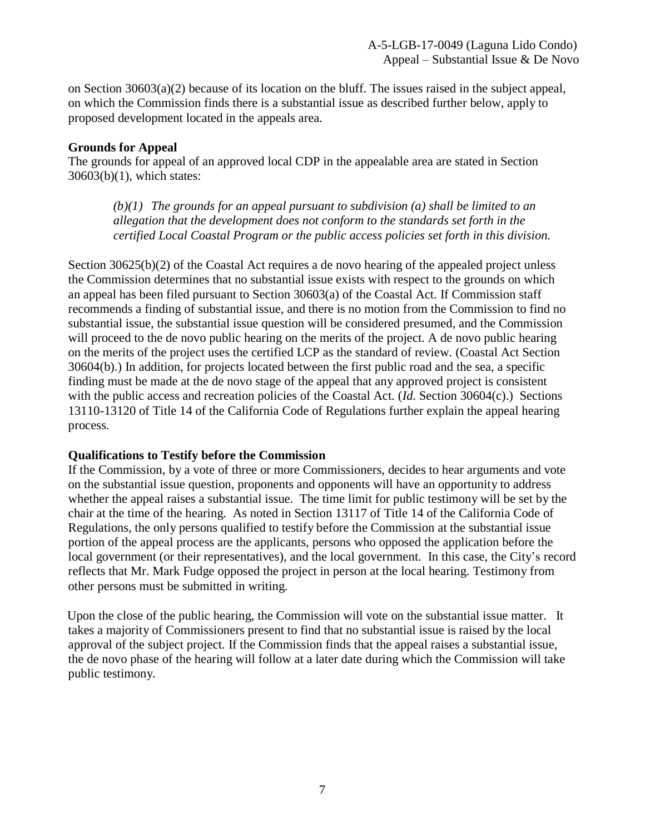on Section  $30603(a)(2)$  because of its location on the bluff. The issues raised in the subject appeal, on which the Commission finds there is a substantial issue as described further below, apply to proposed development located in the appeals area.

### **Grounds for Appeal**

The grounds for appeal of an approved local CDP in the appealable area are stated in Section 30603(b)(1), which states:

*(b)(1) The grounds for an appeal pursuant to subdivision (a) shall be limited to an allegation that the development does not conform to the standards set forth in the certified Local Coastal Program or the public access policies set forth in this division.*

Section 30625(b)(2) of the Coastal Act requires a de novo hearing of the appealed project unless the Commission determines that no substantial issue exists with respect to the grounds on which an appeal has been filed pursuant to Section 30603(a) of the Coastal Act. If Commission staff recommends a finding of substantial issue, and there is no motion from the Commission to find no substantial issue, the substantial issue question will be considered presumed, and the Commission will proceed to the de novo public hearing on the merits of the project. A de novo public hearing on the merits of the project uses the certified LCP as the standard of review. (Coastal Act Section 30604(b).) In addition, for projects located between the first public road and the sea, a specific finding must be made at the de novo stage of the appeal that any approved project is consistent with the public access and recreation policies of the Coastal Act. (*Id*. Section 30604(c).) Sections 13110-13120 of Title 14 of the California Code of Regulations further explain the appeal hearing process.

### **Qualifications to Testify before the Commission**

If the Commission, by a vote of three or more Commissioners, decides to hear arguments and vote on the substantial issue question, proponents and opponents will have an opportunity to address whether the appeal raises a substantial issue. The time limit for public testimony will be set by the chair at the time of the hearing. As noted in Section 13117 of Title 14 of the California Code of Regulations, the only persons qualified to testify before the Commission at the substantial issue portion of the appeal process are the applicants, persons who opposed the application before the local government (or their representatives), and the local government. In this case, the City's record reflects that Mr. Mark Fudge opposed the project in person at the local hearing. Testimony from other persons must be submitted in writing.

Upon the close of the public hearing, the Commission will vote on the substantial issue matter. It takes a majority of Commissioners present to find that no substantial issue is raised by the local approval of the subject project. If the Commission finds that the appeal raises a substantial issue, the de novo phase of the hearing will follow at a later date during which the Commission will take public testimony.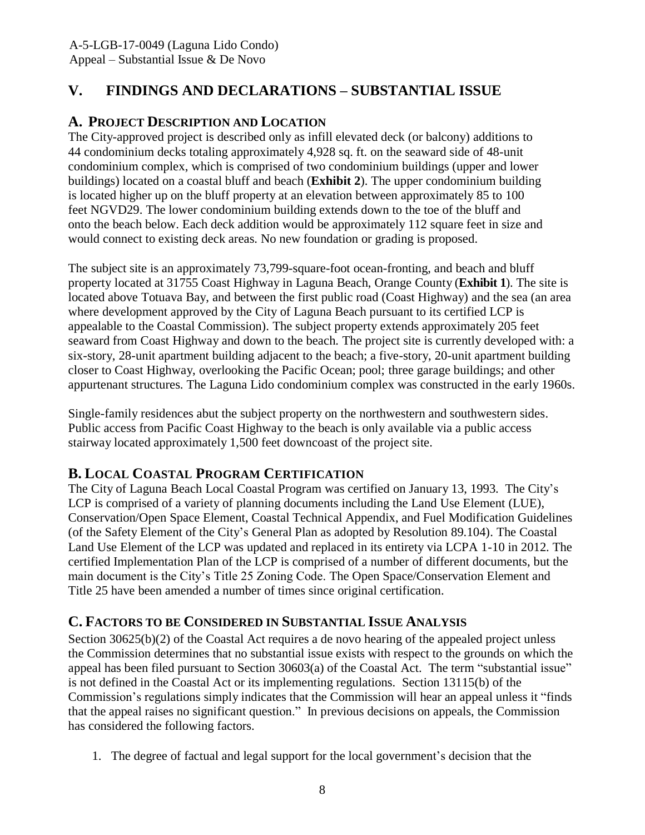# <span id="page-7-0"></span>**V. FINDINGS AND DECLARATIONS – SUBSTANTIAL ISSUE**

# <span id="page-7-1"></span>**A. PROJECT DESCRIPTION AND LOCATION**

The City-approved project is described only as infill elevated deck (or balcony) additions to 44 condominium decks totaling approximately 4,928 sq. ft. on the seaward side of 48-unit condominium complex, which is comprised of two condominium buildings (upper and lower buildings) located on a coastal bluff and beach (**[Exhibit 2](https://documents.coastal.ca.gov/reports/2019/9/W25a/W25a-9-2019-exhibits.pdf)**). The upper condominium building is located higher up on the bluff property at an elevation between approximately 85 to 100 feet NGVD29. The lower condominium building extends down to the toe of the bluff and onto the beach below. Each deck addition would be approximately 112 square feet in size and would connect to existing deck areas. No new foundation or grading is proposed.

The subject site is an approximately 73,799-square-foot ocean-fronting, and beach and bluff property located at 31755 Coast Highway in Laguna Beach, Orange County (**[Exhibit 1](https://documents.coastal.ca.gov/reports/2019/9/W25a/W25a-9-2019-exhibits.pdf)**). The site is located above Totuava Bay, and between the first public road (Coast Highway) and the sea (an area where development approved by the City of Laguna Beach pursuant to its certified LCP is appealable to the Coastal Commission). The subject property extends approximately 205 feet seaward from Coast Highway and down to the beach. The project site is currently developed with: a six-story, 28-unit apartment building adjacent to the beach; a five-story, 20-unit apartment building closer to Coast Highway, overlooking the Pacific Ocean; pool; three garage buildings; and other appurtenant structures. The Laguna Lido condominium complex was constructed in the early 1960s.

Single-family residences abut the subject property on the northwestern and southwestern sides. Public access from Pacific Coast Highway to the beach is only available via a public access stairway located approximately 1,500 feet downcoast of the project site.

## <span id="page-7-2"></span>**B. LOCAL COASTAL PROGRAM CERTIFICATION**

The City of Laguna Beach Local Coastal Program was certified on January 13, 1993. The City's LCP is comprised of a variety of planning documents including the Land Use Element (LUE), Conservation/Open Space Element, Coastal Technical Appendix, and Fuel Modification Guidelines (of the Safety Element of the City's General Plan as adopted by Resolution 89.104). The Coastal Land Use Element of the LCP was updated and replaced in its entirety via LCPA 1-10 in 2012. The certified Implementation Plan of the LCP is comprised of a number of different documents, but the main document is the City's Title 25 Zoning Code. The Open Space/Conservation Element and Title 25 have been amended a number of times since original certification.

# <span id="page-7-3"></span>**C. FACTORS TO BE CONSIDERED IN SUBSTANTIAL ISSUE ANALYSIS**

Section 30625(b)(2) of the Coastal Act requires a de novo hearing of the appealed project unless the Commission determines that no substantial issue exists with respect to the grounds on which the appeal has been filed pursuant to Section 30603(a) of the Coastal Act. The term "substantial issue" is not defined in the Coastal Act or its implementing regulations. Section 13115(b) of the Commission's regulations simply indicates that the Commission will hear an appeal unless it "finds that the appeal raises no significant question." In previous decisions on appeals, the Commission has considered the following factors.

1. The degree of factual and legal support for the local government's decision that the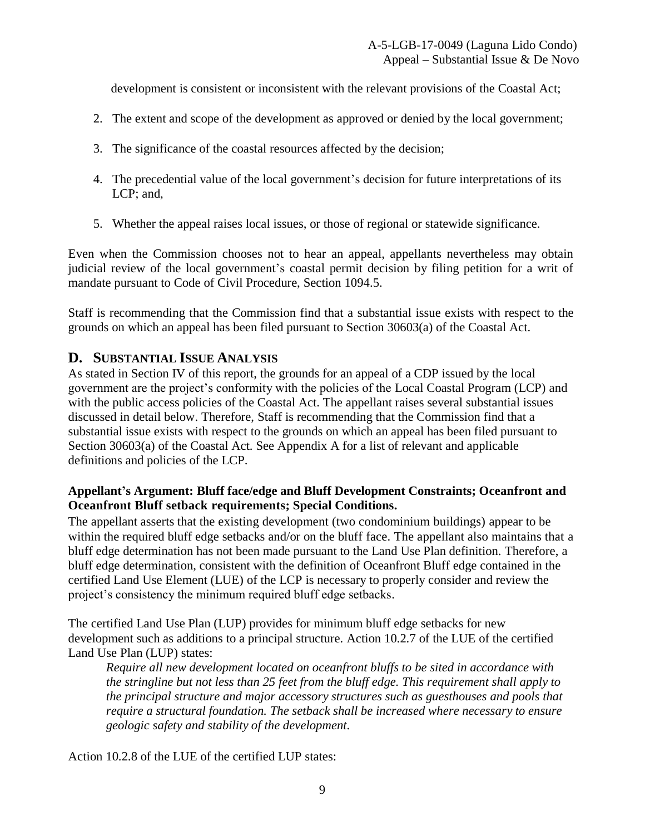development is consistent or inconsistent with the relevant provisions of the Coastal Act;

- 2. The extent and scope of the development as approved or denied by the local government;
- 3. The significance of the coastal resources affected by the decision;
- 4. The precedential value of the local government's decision for future interpretations of its LCP; and,
- 5. Whether the appeal raises local issues, or those of regional or statewide significance.

Even when the Commission chooses not to hear an appeal, appellants nevertheless may obtain judicial review of the local government's coastal permit decision by filing petition for a writ of mandate pursuant to Code of Civil Procedure, Section 1094.5.

Staff is recommending that the Commission find that a substantial issue exists with respect to the grounds on which an appeal has been filed pursuant to Section 30603(a) of the Coastal Act.

## <span id="page-8-0"></span>**D. SUBSTANTIAL ISSUE ANALYSIS**

As stated in Section IV of this report, the grounds for an appeal of a CDP issued by the local government are the project's conformity with the policies of the Local Coastal Program (LCP) and with the public access policies of the Coastal Act. The appellant raises several substantial issues discussed in detail below. Therefore, Staff is recommending that the Commission find that a substantial issue exists with respect to the grounds on which an appeal has been filed pursuant to Section 30603(a) of the Coastal Act. See Appendix A for a list of relevant and applicable definitions and policies of the LCP.

### **Appellant's Argument: Bluff face/edge and Bluff Development Constraints; Oceanfront and Oceanfront Bluff setback requirements; Special Conditions.**

The appellant asserts that the existing development (two condominium buildings) appear to be within the required bluff edge setbacks and/or on the bluff face. The appellant also maintains that a bluff edge determination has not been made pursuant to the Land Use Plan definition. Therefore, a bluff edge determination, consistent with the definition of Oceanfront Bluff edge contained in the certified Land Use Element (LUE) of the LCP is necessary to properly consider and review the project's consistency the minimum required bluff edge setbacks.

The certified Land Use Plan (LUP) provides for minimum bluff edge setbacks for new development such as additions to a principal structure. Action 10.2.7 of the LUE of the certified Land Use Plan (LUP) states:

*Require all new development located on oceanfront bluffs to be sited in accordance with the stringline but not less than 25 feet from the bluff edge. This requirement shall apply to the principal structure and major accessory structures such as guesthouses and pools that require a structural foundation. The setback shall be increased where necessary to ensure geologic safety and stability of the development.*

Action 10.2.8 of the LUE of the certified LUP states: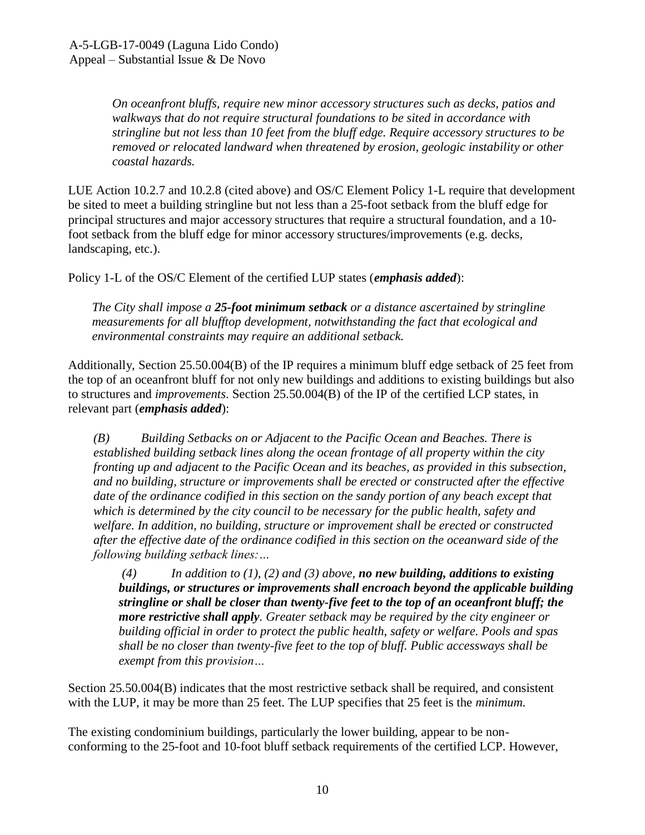*On oceanfront bluffs, require new minor accessory structures such as decks, patios and walkways that do not require structural foundations to be sited in accordance with stringline but not less than 10 feet from the bluff edge. Require accessory structures to be removed or relocated landward when threatened by erosion, geologic instability or other coastal hazards.*

LUE Action 10.2.7 and 10.2.8 (cited above) and OS/C Element Policy 1-L require that development be sited to meet a building stringline but not less than a 25-foot setback from the bluff edge for principal structures and major accessory structures that require a structural foundation, and a 10 foot setback from the bluff edge for minor accessory structures/improvements (e.g. decks, landscaping, etc.).

Policy 1-L of the OS/C Element of the certified LUP states (*emphasis added*):

*The City shall impose a 25-foot minimum setback or a distance ascertained by stringline measurements for all blufftop development, notwithstanding the fact that ecological and environmental constraints may require an additional setback.*

Additionally, Section 25.50.004(B) of the IP requires a minimum bluff edge setback of 25 feet from the top of an oceanfront bluff for not only new buildings and additions to existing buildings but also to structures and *improvements*. Section 25.50.004(B) of the IP of the certified LCP states, in relevant part (*emphasis added*):

*(B) Building Setbacks on or Adjacent to the Pacific Ocean and Beaches. There is established building setback lines along the ocean frontage of all property within the city fronting up and adjacent to the Pacific Ocean and its beaches, as provided in this subsection, and no building, structure or improvements shall be erected or constructed after the effective date of the ordinance codified in this section on the sandy portion of any beach except that which is determined by the city council to be necessary for the public health, safety and welfare. In addition, no building, structure or improvement shall be erected or constructed after the effective date of the ordinance codified in this section on the oceanward side of the following building setback lines:…*

*(4) In addition to (1), (2) and (3) above, no new building, additions to existing buildings, or structures or improvements shall encroach beyond the applicable building stringline or shall be closer than twenty-five feet to the top of an oceanfront bluff; the more restrictive shall apply. Greater setback may be required by the city engineer or building official in order to protect the public health, safety or welfare. Pools and spas shall be no closer than twenty-five feet to the top of bluff. Public accessways shall be exempt from this provision…*

Section 25.50.004(B) indicates that the most restrictive setback shall be required, and consistent with the LUP, it may be more than 25 feet. The LUP specifies that 25 feet is the *minimum*.

The existing condominium buildings, particularly the lower building, appear to be nonconforming to the 25-foot and 10-foot bluff setback requirements of the certified LCP. However,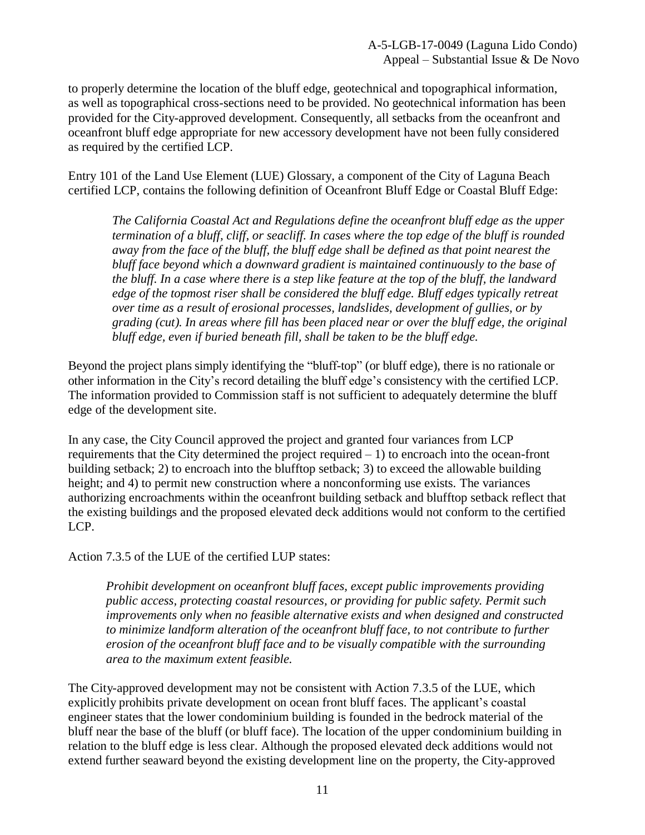to properly determine the location of the bluff edge, geotechnical and topographical information, as well as topographical cross-sections need to be provided. No geotechnical information has been provided for the City-approved development. Consequently, all setbacks from the oceanfront and oceanfront bluff edge appropriate for new accessory development have not been fully considered as required by the certified LCP.

Entry 101 of the Land Use Element (LUE) Glossary, a component of the City of Laguna Beach certified LCP, contains the following definition of Oceanfront Bluff Edge or Coastal Bluff Edge:

*The California Coastal Act and Regulations define the oceanfront bluff edge as the upper termination of a bluff, cliff, or seacliff. In cases where the top edge of the bluff is rounded away from the face of the bluff, the bluff edge shall be defined as that point nearest the bluff face beyond which a downward gradient is maintained continuously to the base of the bluff. In a case where there is a step like feature at the top of the bluff, the landward edge of the topmost riser shall be considered the bluff edge. Bluff edges typically retreat over time as a result of erosional processes, landslides, development of gullies, or by grading (cut). In areas where fill has been placed near or over the bluff edge, the original bluff edge, even if buried beneath fill, shall be taken to be the bluff edge.*

Beyond the project plans simply identifying the "bluff-top" (or bluff edge), there is no rationale or other information in the City's record detailing the bluff edge's consistency with the certified LCP. The information provided to Commission staff is not sufficient to adequately determine the bluff edge of the development site.

In any case, the City Council approved the project and granted four variances from LCP requirements that the City determined the project required  $-1$ ) to encroach into the ocean-front building setback; 2) to encroach into the blufftop setback; 3) to exceed the allowable building height; and 4) to permit new construction where a nonconforming use exists. The variances authorizing encroachments within the oceanfront building setback and blufftop setback reflect that the existing buildings and the proposed elevated deck additions would not conform to the certified LCP.

Action 7.3.5 of the LUE of the certified LUP states:

*Prohibit development on oceanfront bluff faces, except public improvements providing public access, protecting coastal resources, or providing for public safety. Permit such improvements only when no feasible alternative exists and when designed and constructed to minimize landform alteration of the oceanfront bluff face, to not contribute to further erosion of the oceanfront bluff face and to be visually compatible with the surrounding area to the maximum extent feasible.*

The City-approved development may not be consistent with Action 7.3.5 of the LUE, which explicitly prohibits private development on ocean front bluff faces. The applicant's coastal engineer states that the lower condominium building is founded in the bedrock material of the bluff near the base of the bluff (or bluff face). The location of the upper condominium building in relation to the bluff edge is less clear. Although the proposed elevated deck additions would not extend further seaward beyond the existing development line on the property, the City-approved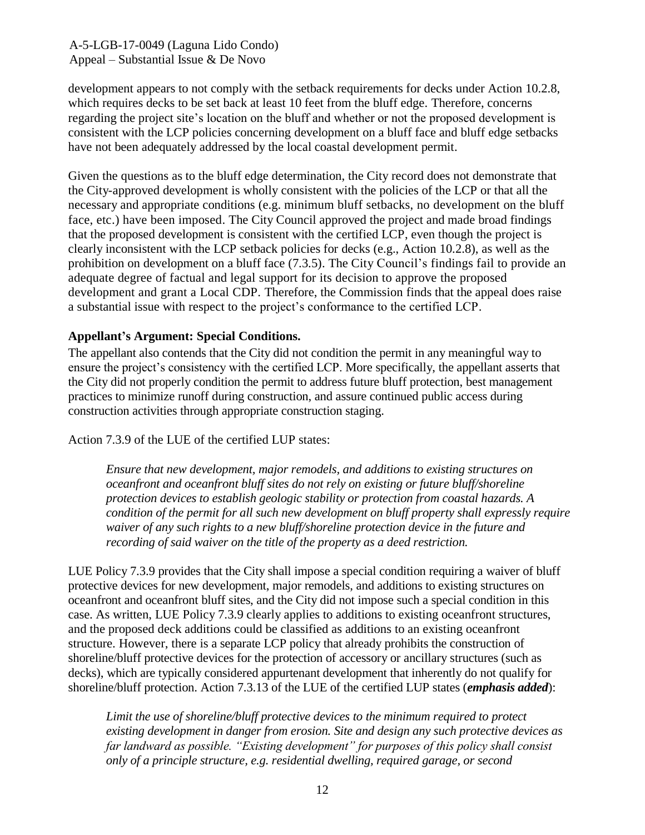development appears to not comply with the setback requirements for decks under Action 10.2.8, which requires decks to be set back at least 10 feet from the bluff edge. Therefore, concerns regarding the project site's location on the bluff and whether or not the proposed development is consistent with the LCP policies concerning development on a bluff face and bluff edge setbacks have not been adequately addressed by the local coastal development permit.

Given the questions as to the bluff edge determination, the City record does not demonstrate that the City-approved development is wholly consistent with the policies of the LCP or that all the necessary and appropriate conditions (e.g. minimum bluff setbacks, no development on the bluff face, etc.) have been imposed. The City Council approved the project and made broad findings that the proposed development is consistent with the certified LCP, even though the project is clearly inconsistent with the LCP setback policies for decks (e.g., Action 10.2.8), as well as the prohibition on development on a bluff face (7.3.5). The City Council's findings fail to provide an adequate degree of factual and legal support for its decision to approve the proposed development and grant a Local CDP. Therefore, the Commission finds that the appeal does raise a substantial issue with respect to the project's conformance to the certified LCP.

### **Appellant's Argument: Special Conditions.**

The appellant also contends that the City did not condition the permit in any meaningful way to ensure the project's consistency with the certified LCP. More specifically, the appellant asserts that the City did not properly condition the permit to address future bluff protection, best management practices to minimize runoff during construction, and assure continued public access during construction activities through appropriate construction staging.

Action 7.3.9 of the LUE of the certified LUP states:

*Ensure that new development, major remodels, and additions to existing structures on oceanfront and oceanfront bluff sites do not rely on existing or future bluff/shoreline protection devices to establish geologic stability or protection from coastal hazards. A condition of the permit for all such new development on bluff property shall expressly require waiver of any such rights to a new bluff/shoreline protection device in the future and recording of said waiver on the title of the property as a deed restriction.* 

LUE Policy 7.3.9 provides that the City shall impose a special condition requiring a waiver of bluff protective devices for new development, major remodels, and additions to existing structures on oceanfront and oceanfront bluff sites, and the City did not impose such a special condition in this case. As written, LUE Policy 7.3.9 clearly applies to additions to existing oceanfront structures, and the proposed deck additions could be classified as additions to an existing oceanfront structure. However, there is a separate LCP policy that already prohibits the construction of shoreline/bluff protective devices for the protection of accessory or ancillary structures (such as decks), which are typically considered appurtenant development that inherently do not qualify for shoreline/bluff protection. Action 7.3.13 of the LUE of the certified LUP states (*emphasis added*):

*Limit the use of shoreline/bluff protective devices to the minimum required to protect existing development in danger from erosion. Site and design any such protective devices as far landward as possible. "Existing development" for purposes of this policy shall consist only of a principle structure, e.g. residential dwelling, required garage, or second*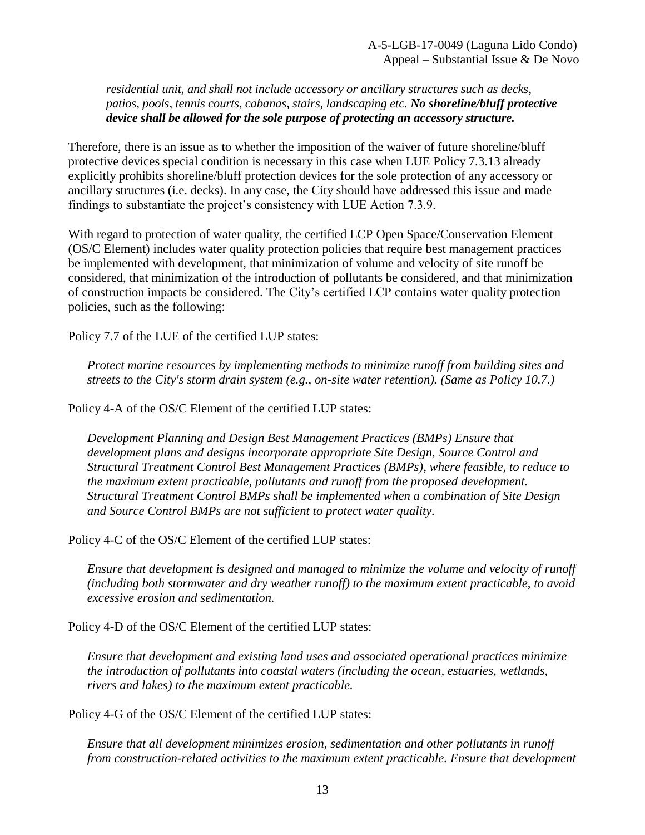*residential unit, and shall not include accessory or ancillary structures such as decks, patios, pools, tennis courts, cabanas, stairs, landscaping etc. No shoreline/bluff protective device shall be allowed for the sole purpose of protecting an accessory structure.* 

Therefore, there is an issue as to whether the imposition of the waiver of future shoreline/bluff protective devices special condition is necessary in this case when LUE Policy 7.3.13 already explicitly prohibits shoreline/bluff protection devices for the sole protection of any accessory or ancillary structures (i.e. decks). In any case, the City should have addressed this issue and made findings to substantiate the project's consistency with LUE Action 7.3.9.

With regard to protection of water quality, the certified LCP Open Space/Conservation Element (OS/C Element) includes water quality protection policies that require best management practices be implemented with development, that minimization of volume and velocity of site runoff be considered, that minimization of the introduction of pollutants be considered, and that minimization of construction impacts be considered. The City's certified LCP contains water quality protection policies, such as the following:

Policy 7.7 of the LUE of the certified LUP states:

*Protect marine resources by implementing methods to minimize runoff from building sites and streets to the City's storm drain system (e.g., on-site water retention). (Same as Policy 10.7.)*

Policy 4-A of the OS/C Element of the certified LUP states:

*Development Planning and Design Best Management Practices (BMPs) Ensure that development plans and designs incorporate appropriate Site Design, Source Control and Structural Treatment Control Best Management Practices (BMPs), where feasible, to reduce to the maximum extent practicable, pollutants and runoff from the proposed development. Structural Treatment Control BMPs shall be implemented when a combination of Site Design and Source Control BMPs are not sufficient to protect water quality.*

Policy 4-C of the OS/C Element of the certified LUP states:

*Ensure that development is designed and managed to minimize the volume and velocity of runoff (including both stormwater and dry weather runoff) to the maximum extent practicable, to avoid excessive erosion and sedimentation.*

Policy 4-D of the OS/C Element of the certified LUP states:

*Ensure that development and existing land uses and associated operational practices minimize the introduction of pollutants into coastal waters (including the ocean, estuaries, wetlands, rivers and lakes) to the maximum extent practicable.*

Policy 4-G of the OS/C Element of the certified LUP states:

*Ensure that all development minimizes erosion, sedimentation and other pollutants in runoff from construction-related activities to the maximum extent practicable. Ensure that development*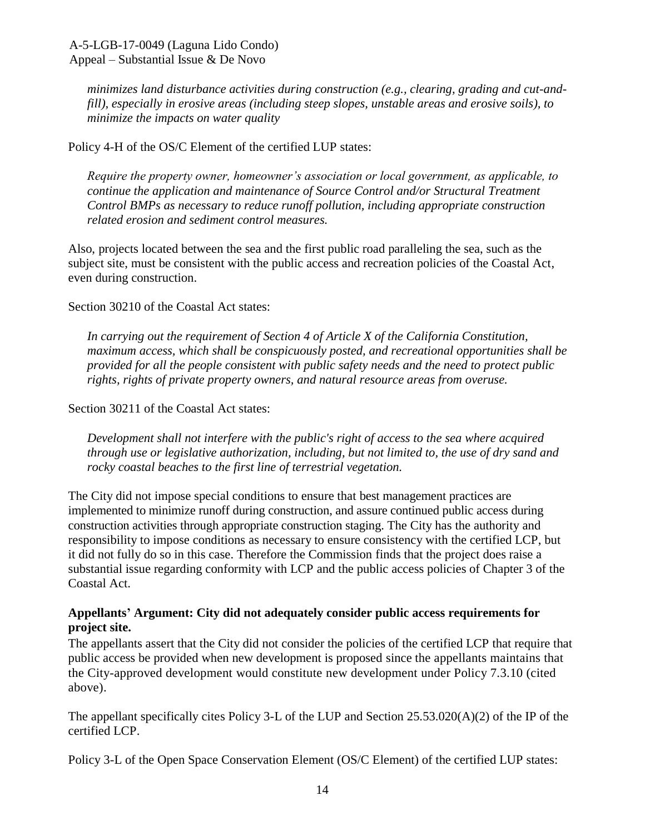*minimizes land disturbance activities during construction (e.g., clearing, grading and cut-andfill), especially in erosive areas (including steep slopes, unstable areas and erosive soils), to minimize the impacts on water quality*

### Policy 4-H of the OS/C Element of the certified LUP states:

*Require the property owner, homeowner's association or local government, as applicable, to continue the application and maintenance of Source Control and/or Structural Treatment Control BMPs as necessary to reduce runoff pollution, including appropriate construction related erosion and sediment control measures.*

Also, projects located between the sea and the first public road paralleling the sea, such as the subject site, must be consistent with the public access and recreation policies of the Coastal Act, even during construction.

Section 30210 of the Coastal Act states:

*In carrying out the requirement of Section 4 of Article X of the California Constitution, maximum access, which shall be conspicuously posted, and recreational opportunities shall be provided for all the people consistent with public safety needs and the need to protect public rights, rights of private property owners, and natural resource areas from overuse.*

Section 30211 of the Coastal Act states:

*Development shall not interfere with the public's right of access to the sea where acquired through use or legislative authorization, including, but not limited to, the use of dry sand and rocky coastal beaches to the first line of terrestrial vegetation.*

The City did not impose special conditions to ensure that best management practices are implemented to minimize runoff during construction, and assure continued public access during construction activities through appropriate construction staging. The City has the authority and responsibility to impose conditions as necessary to ensure consistency with the certified LCP, but it did not fully do so in this case. Therefore the Commission finds that the project does raise a substantial issue regarding conformity with LCP and the public access policies of Chapter 3 of the Coastal Act.

### **Appellants' Argument: City did not adequately consider public access requirements for project site.**

The appellants assert that the City did not consider the policies of the certified LCP that require that public access be provided when new development is proposed since the appellants maintains that the City-approved development would constitute new development under Policy 7.3.10 (cited above).

The appellant specifically cites Policy 3-L of the LUP and Section 25.53.020(A)(2) of the IP of the certified LCP.

Policy 3-L of the Open Space Conservation Element (OS/C Element) of the certified LUP states: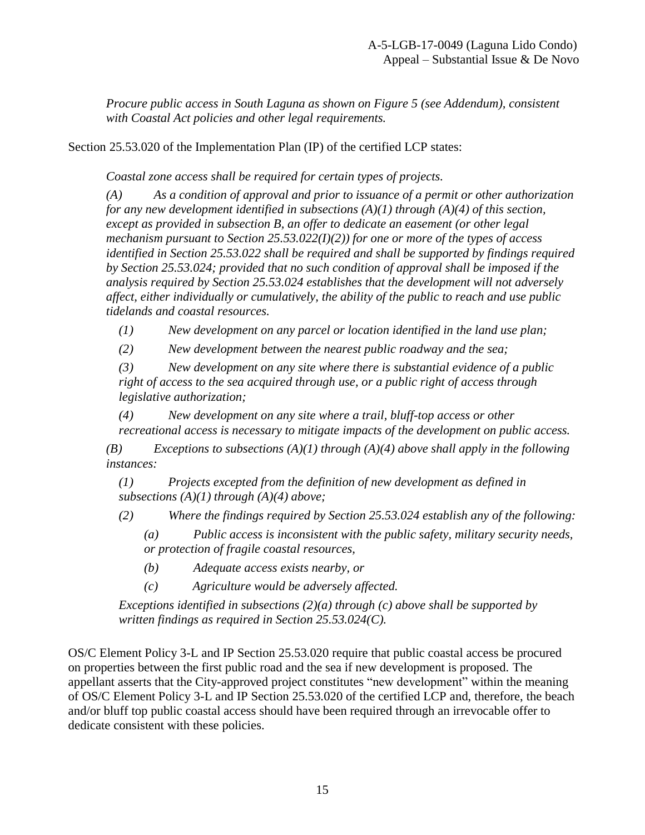*Procure public access in South Laguna as shown on Figure 5 (see Addendum), consistent with Coastal Act policies and other legal requirements.*

Section 25.53.020 of the Implementation Plan (IP) of the certified LCP states:

 *Coastal zone access shall be required for certain types of projects.*

*(A) As a condition of approval and prior to issuance of a permit or other authorization for any new development identified in subsections (A)(1) through (A)(4) of this section, except as provided in subsection B, an offer to dedicate an easement (or other legal mechanism pursuant to Section 25.53.022(I)(2)) for one or more of the types of access identified in Section 25.53.022 shall be required and shall be supported by findings required by Section 25.53.024; provided that no such condition of approval shall be imposed if the analysis required by Section 25.53.024 establishes that the development will not adversely affect, either individually or cumulatively, the ability of the public to reach and use public tidelands and coastal resources.*

*(1) New development on any parcel or location identified in the land use plan;*

*(2) New development between the nearest public roadway and the sea;*

*(3) New development on any site where there is substantial evidence of a public right of access to the sea acquired through use, or a public right of access through legislative authorization;*

*(4) New development on any site where a trail, bluff-top access or other recreational access is necessary to mitigate impacts of the development on public access.*

*(B) Exceptions to subsections (A)(1) through (A)(4) above shall apply in the following instances:*

*(1) Projects excepted from the definition of new development as defined in subsections (A)(1) through (A)(4) above;*

*(2) Where the findings required by Section 25.53.024 establish any of the following:*

*(a) Public access is inconsistent with the public safety, military security needs, or protection of fragile coastal resources,*

*(b) Adequate access exists nearby, or*

*(c) Agriculture would be adversely affected.*

*Exceptions identified in subsections (2)(a) through (c) above shall be supported by written findings as required in Section 25.53.024(C).* 

OS/C Element Policy 3-L and IP Section 25.53.020 require that public coastal access be procured on properties between the first public road and the sea if new development is proposed. The appellant asserts that the City-approved project constitutes "new development" within the meaning of OS/C Element Policy 3-L and IP Section 25.53.020 of the certified LCP and, therefore, the beach and/or bluff top public coastal access should have been required through an irrevocable offer to dedicate consistent with these policies.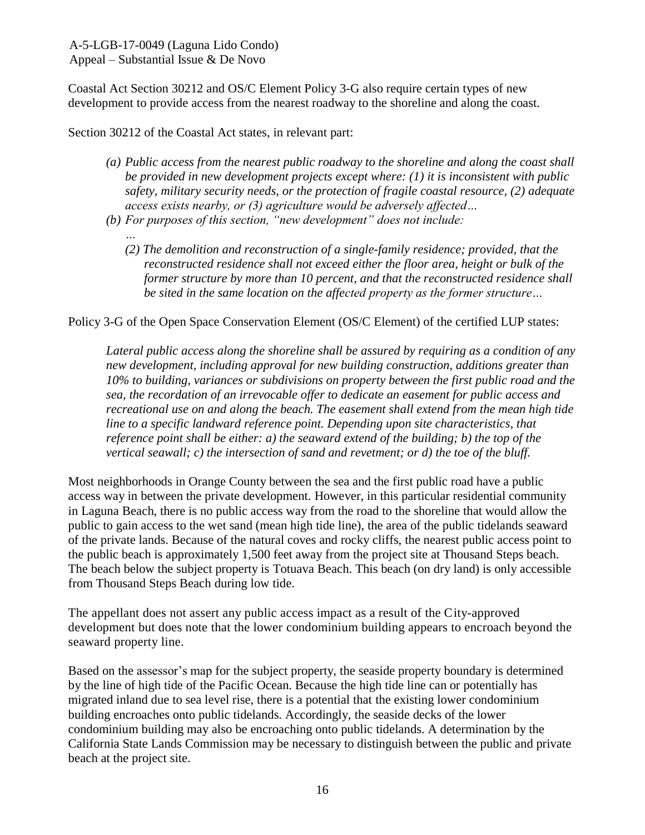Coastal Act Section 30212 and OS/C Element Policy 3-G also require certain types of new development to provide access from the nearest roadway to the shoreline and along the coast.

Section 30212 of the Coastal Act states, in relevant part:

- *(a) Public access from the nearest public roadway to the shoreline and along the coast shall be provided in new development projects except where: (1) it is inconsistent with public safety, military security needs, or the protection of fragile coastal resource, (2) adequate access exists nearby, or (3) agriculture would be adversely affected…*
- *(b) For purposes of this section, "new development" does not include:*
	- *… (2) The demolition and reconstruction of a single-family residence; provided, that the reconstructed residence shall not exceed either the floor area, height or bulk of the former structure by more than 10 percent, and that the reconstructed residence shall be sited in the same location on the affected property as the former structure…*

Policy 3-G of the Open Space Conservation Element (OS/C Element) of the certified LUP states:

*Lateral public access along the shoreline shall be assured by requiring as a condition of any new development, including approval for new building construction, additions greater than 10% to building, variances or subdivisions on property between the first public road and the sea, the recordation of an irrevocable offer to dedicate an easement for public access and recreational use on and along the beach. The easement shall extend from the mean high tide line to a specific landward reference point. Depending upon site characteristics, that reference point shall be either: a) the seaward extend of the building; b) the top of the vertical seawall; c) the intersection of sand and revetment; or d) the toe of the bluff.*

Most neighborhoods in Orange County between the sea and the first public road have a public access way in between the private development. However, in this particular residential community in Laguna Beach, there is no public access way from the road to the shoreline that would allow the public to gain access to the wet sand (mean high tide line), the area of the public tidelands seaward of the private lands. Because of the natural coves and rocky cliffs, the nearest public access point to the public beach is approximately 1,500 feet away from the project site at Thousand Steps beach. The beach below the subject property is Totuava Beach. This beach (on dry land) is only accessible from Thousand Steps Beach during low tide.

The appellant does not assert any public access impact as a result of the City-approved development but does note that the lower condominium building appears to encroach beyond the seaward property line.

Based on the assessor's map for the subject property, the seaside property boundary is determined by the line of high tide of the Pacific Ocean. Because the high tide line can or potentially has migrated inland due to sea level rise, there is a potential that the existing lower condominium building encroaches onto public tidelands. Accordingly, the seaside decks of the lower condominium building may also be encroaching onto public tidelands. A determination by the California State Lands Commission may be necessary to distinguish between the public and private beach at the project site.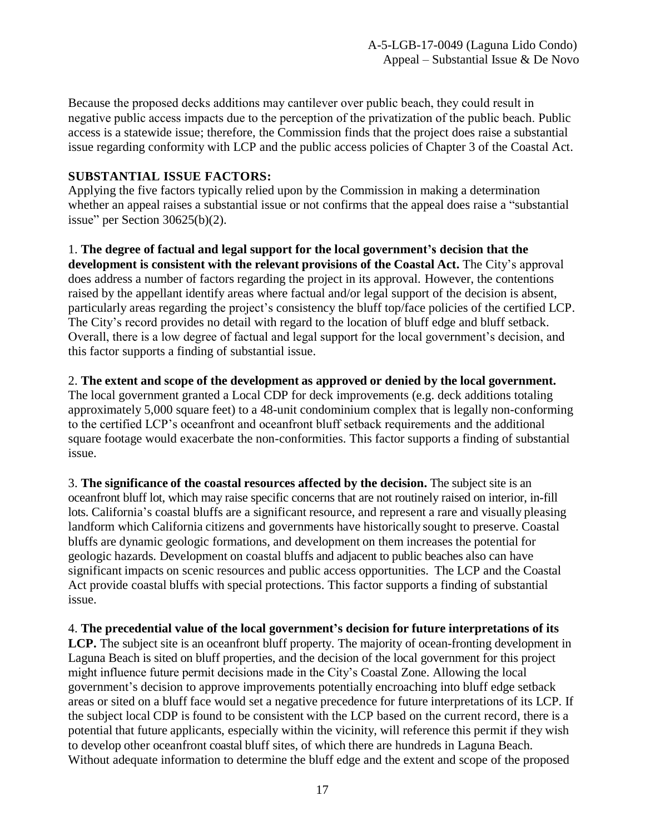Because the proposed decks additions may cantilever over public beach, they could result in negative public access impacts due to the perception of the privatization of the public beach. Public access is a statewide issue; therefore, the Commission finds that the project does raise a substantial issue regarding conformity with LCP and the public access policies of Chapter 3 of the Coastal Act.

### **SUBSTANTIAL ISSUE FACTORS:**

Applying the five factors typically relied upon by the Commission in making a determination whether an appeal raises a substantial issue or not confirms that the appeal does raise a "substantial issue" per Section 30625(b)(2).

1. **The degree of factual and legal support for the local government's decision that the development is consistent with the relevant provisions of the Coastal Act.** The City's approval does address a number of factors regarding the project in its approval. However, the contentions raised by the appellant identify areas where factual and/or legal support of the decision is absent, particularly areas regarding the project's consistency the bluff top/face policies of the certified LCP. The City's record provides no detail with regard to the location of bluff edge and bluff setback. Overall, there is a low degree of factual and legal support for the local government's decision, and this factor supports a finding of substantial issue.

### 2. **The extent and scope of the development as approved or denied by the local government.**

The local government granted a Local CDP for deck improvements (e.g. deck additions totaling approximately 5,000 square feet) to a 48-unit condominium complex that is legally non-conforming to the certified LCP's oceanfront and oceanfront bluff setback requirements and the additional square footage would exacerbate the non-conformities. This factor supports a finding of substantial issue.

3. **The significance of the coastal resources affected by the decision.** The subject site is an oceanfront bluff lot, which may raise specific concerns that are not routinely raised on interior, in-fill lots. California's coastal bluffs are a significant resource, and represent a rare and visually pleasing landform which California citizens and governments have historically sought to preserve. Coastal bluffs are dynamic geologic formations, and development on them increases the potential for geologic hazards. Development on coastal bluffs and adjacent to public beaches also can have significant impacts on scenic resources and public access opportunities. The LCP and the Coastal Act provide coastal bluffs with special protections. This factor supports a finding of substantial issue.

4. **The precedential value of the local government's decision for future interpretations of its**

LCP. The subject site is an oceanfront bluff property. The majority of ocean-fronting development in Laguna Beach is sited on bluff properties, and the decision of the local government for this project might influence future permit decisions made in the City's Coastal Zone. Allowing the local government's decision to approve improvements potentially encroaching into bluff edge setback areas or sited on a bluff face would set a negative precedence for future interpretations of its LCP. If the subject local CDP is found to be consistent with the LCP based on the current record, there is a potential that future applicants, especially within the vicinity, will reference this permit if they wish to develop other oceanfront coastal bluff sites, of which there are hundreds in Laguna Beach. Without adequate information to determine the bluff edge and the extent and scope of the proposed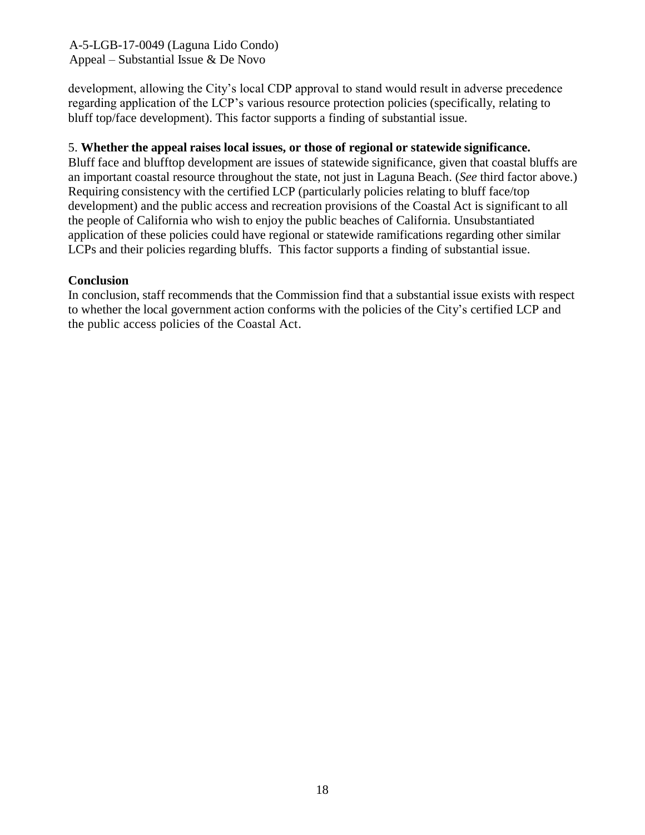development, allowing the City's local CDP approval to stand would result in adverse precedence regarding application of the LCP's various resource protection policies (specifically, relating to bluff top/face development). This factor supports a finding of substantial issue.

### 5. **Whether the appeal raises local issues, or those of regional or statewide significance.**

Bluff face and blufftop development are issues of statewide significance, given that coastal bluffs are an important coastal resource throughout the state, not just in Laguna Beach. (*See* third factor above.) Requiring consistency with the certified LCP (particularly policies relating to bluff face/top development) and the public access and recreation provisions of the Coastal Act is significant to all the people of California who wish to enjoy the public beaches of California. Unsubstantiated application of these policies could have regional or statewide ramifications regarding other similar LCPs and their policies regarding bluffs. This factor supports a finding of substantial issue.

#### **Conclusion**

In conclusion, staff recommends that the Commission find that a substantial issue exists with respect to whether the local government action conforms with the policies of the City's certified LCP and the public access policies of the Coastal Act.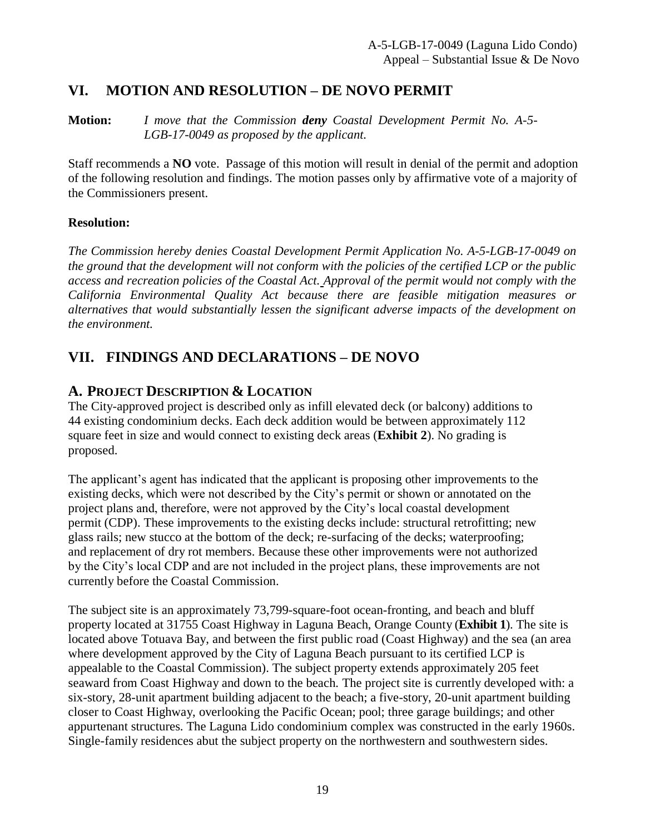## <span id="page-18-0"></span>**VI. MOTION AND RESOLUTION – DE NOVO PERMIT**

**Motion:** *I move that the Commission deny Coastal Development Permit No. A-5- LGB-17-0049 as proposed by the applicant.*

Staff recommends a **NO** vote. Passage of this motion will result in denial of the permit and adoption of the following resolution and findings. The motion passes only by affirmative vote of a majority of the Commissioners present.

### **Resolution:**

*The Commission hereby denies Coastal Development Permit Application No. A-5-LGB-17-0049 on the ground that the development will not conform with the policies of the certified LCP or the public access and recreation policies of the Coastal Act. Approval of the permit would not comply with the California Environmental Quality Act because there are feasible mitigation measures or alternatives that would substantially lessen the significant adverse impacts of the development on the environment.*

# <span id="page-18-1"></span>**VII. FINDINGS AND DECLARATIONS – DE NOVO**

## <span id="page-18-2"></span>**A. PROJECT DESCRIPTION & LOCATION**

The City-approved project is described only as infill elevated deck (or balcony) additions to 44 existing condominium decks. Each deck addition would be between approximately 112 square feet in size and would connect to existing deck areas (**[Exhibit 2](https://documents.coastal.ca.gov/reports/2019/9/W25a/W25a-9-2019-exhibits.pdf)**). No grading is proposed.

The applicant's agent has indicated that the applicant is proposing other improvements to the existing decks, which were not described by the City's permit or shown or annotated on the project plans and, therefore, were not approved by the City's local coastal development permit (CDP). These improvements to the existing decks include: structural retrofitting; new glass rails; new stucco at the bottom of the deck; re-surfacing of the decks; waterproofing; and replacement of dry rot members. Because these other improvements were not authorized by the City's local CDP and are not included in the project plans, these improvements are not currently before the Coastal Commission.

The subject site is an approximately 73,799-square-foot ocean-fronting, and beach and bluff property located at 31755 Coast Highway in Laguna Beach, Orange County (**[Exhibit 1](https://documents.coastal.ca.gov/reports/2019/9/W25a/W25a-9-2019-exhibits.pdf)**). The site is located above Totuava Bay, and between the first public road (Coast Highway) and the sea (an area where development approved by the City of Laguna Beach pursuant to its certified LCP is appealable to the Coastal Commission). The subject property extends approximately 205 feet seaward from Coast Highway and down to the beach. The project site is currently developed with: a six-story, 28-unit apartment building adjacent to the beach; a five-story, 20-unit apartment building closer to Coast Highway, overlooking the Pacific Ocean; pool; three garage buildings; and other appurtenant structures. The Laguna Lido condominium complex was constructed in the early 1960s. Single-family residences abut the subject property on the northwestern and southwestern sides.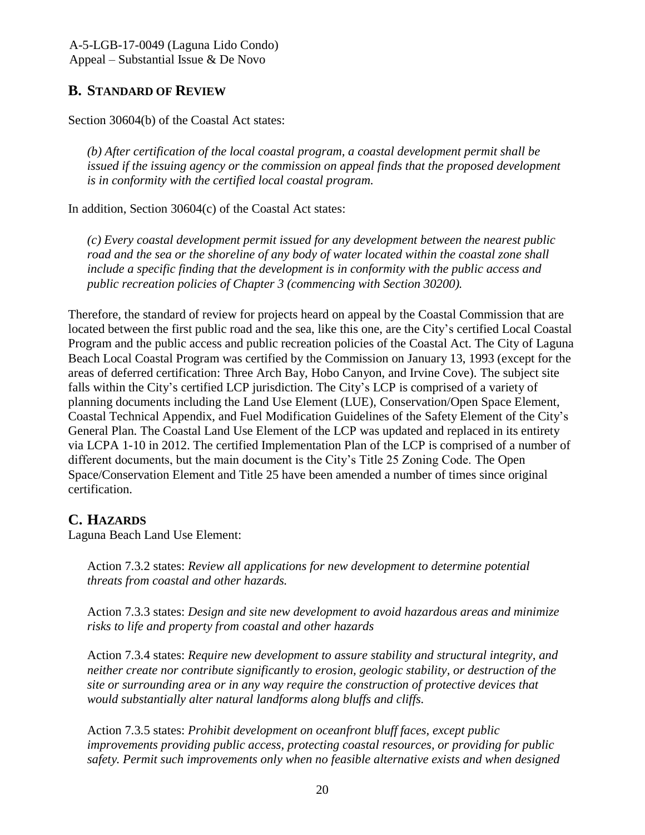# <span id="page-19-0"></span>**B. STANDARD OF REVIEW**

Section 30604(b) of the Coastal Act states:

*(b) After certification of the local coastal program, a coastal development permit shall be issued if the issuing agency or the commission on appeal finds that the proposed development is in conformity with the certified local coastal program.*

In addition, Section 30604(c) of the Coastal Act states:

*(c) Every coastal development permit issued for any development between the nearest public road and the sea or the shoreline of any body of water located within the coastal zone shall include a specific finding that the development is in conformity with the public access and public recreation policies of Chapter 3 (commencing with Section 30200).*

Therefore, the standard of review for projects heard on appeal by the Coastal Commission that are located between the first public road and the sea, like this one, are the City's certified Local Coastal Program and the public access and public recreation policies of the Coastal Act. The City of Laguna Beach Local Coastal Program was certified by the Commission on January 13, 1993 (except for the areas of deferred certification: Three Arch Bay, Hobo Canyon, and Irvine Cove). The subject site falls within the City's certified LCP jurisdiction. The City's LCP is comprised of a variety of planning documents including the Land Use Element (LUE), Conservation/Open Space Element, Coastal Technical Appendix, and Fuel Modification Guidelines of the Safety Element of the City's General Plan. The Coastal Land Use Element of the LCP was updated and replaced in its entirety via LCPA 1-10 in 2012. The certified Implementation Plan of the LCP is comprised of a number of different documents, but the main document is the City's Title 25 Zoning Code. The Open Space/Conservation Element and Title 25 have been amended a number of times since original certification.

# <span id="page-19-1"></span>**C. HAZARDS**

Laguna Beach Land Use Element:

Action 7.3.2 states: *Review all applications for new development to determine potential threats from coastal and other hazards.*

Action 7.3.3 states: *Design and site new development to avoid hazardous areas and minimize risks to life and property from coastal and other hazards*

Action 7.3.4 states: *Require new development to assure stability and structural integrity, and neither create nor contribute significantly to erosion, geologic stability, or destruction of the site or surrounding area or in any way require the construction of protective devices that would substantially alter natural landforms along bluffs and cliffs.*

Action 7.3.5 states: *Prohibit development on oceanfront bluff faces, except public improvements providing public access, protecting coastal resources, or providing for public safety. Permit such improvements only when no feasible alternative exists and when designed*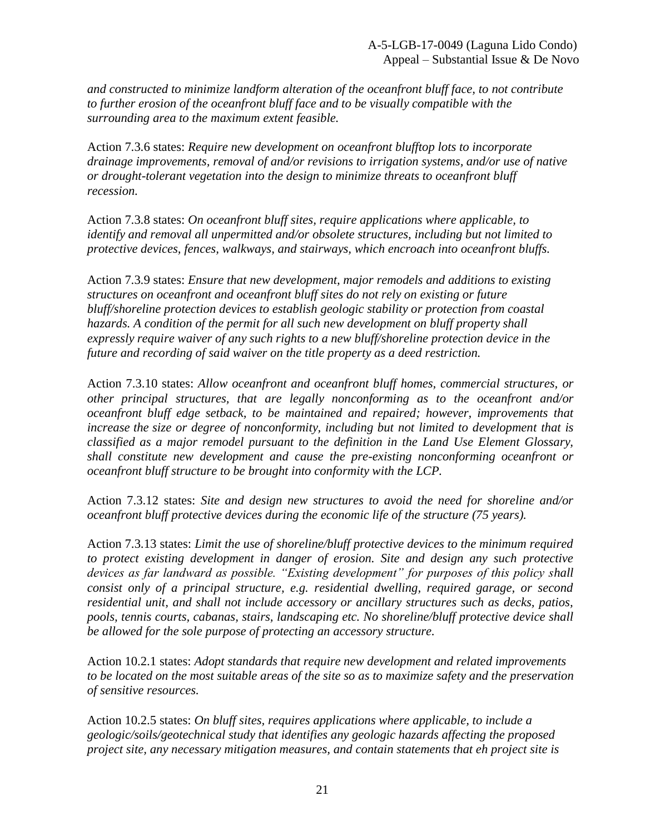*and constructed to minimize landform alteration of the oceanfront bluff face, to not contribute to further erosion of the oceanfront bluff face and to be visually compatible with the surrounding area to the maximum extent feasible.*

Action 7.3.6 states: *Require new development on oceanfront blufftop lots to incorporate drainage improvements, removal of and/or revisions to irrigation systems, and/or use of native or drought-tolerant vegetation into the design to minimize threats to oceanfront bluff recession.*

Action 7.3.8 states: *On oceanfront bluff sites, require applications where applicable, to identify and removal all unpermitted and/or obsolete structures, including but not limited to protective devices, fences, walkways, and stairways, which encroach into oceanfront bluffs.*

Action 7.3.9 states: *Ensure that new development, major remodels and additions to existing structures on oceanfront and oceanfront bluff sites do not rely on existing or future bluff/shoreline protection devices to establish geologic stability or protection from coastal hazards. A condition of the permit for all such new development on bluff property shall expressly require waiver of any such rights to a new bluff/shoreline protection device in the future and recording of said waiver on the title property as a deed restriction.*

Action 7.3.10 states: *Allow oceanfront and oceanfront bluff homes, commercial structures, or other principal structures, that are legally nonconforming as to the oceanfront and/or oceanfront bluff edge setback, to be maintained and repaired; however, improvements that increase the size or degree of nonconformity, including but not limited to development that is classified as a major remodel pursuant to the definition in the Land Use Element Glossary, shall constitute new development and cause the pre-existing nonconforming oceanfront or oceanfront bluff structure to be brought into conformity with the LCP.*

Action 7.3.12 states: *Site and design new structures to avoid the need for shoreline and/or oceanfront bluff protective devices during the economic life of the structure (75 years).* 

Action 7.3.13 states: *Limit the use of shoreline/bluff protective devices to the minimum required to protect existing development in danger of erosion. Site and design any such protective devices as far landward as possible. "Existing development" for purposes of this policy shall consist only of a principal structure, e.g. residential dwelling, required garage, or second residential unit, and shall not include accessory or ancillary structures such as decks, patios, pools, tennis courts, cabanas, stairs, landscaping etc. No shoreline/bluff protective device shall be allowed for the sole purpose of protecting an accessory structure.*

Action 10.2.1 states: *Adopt standards that require new development and related improvements to be located on the most suitable areas of the site so as to maximize safety and the preservation of sensitive resources.* 

Action 10.2.5 states: *On bluff sites, requires applications where applicable, to include a geologic/soils/geotechnical study that identifies any geologic hazards affecting the proposed project site, any necessary mitigation measures, and contain statements that eh project site is*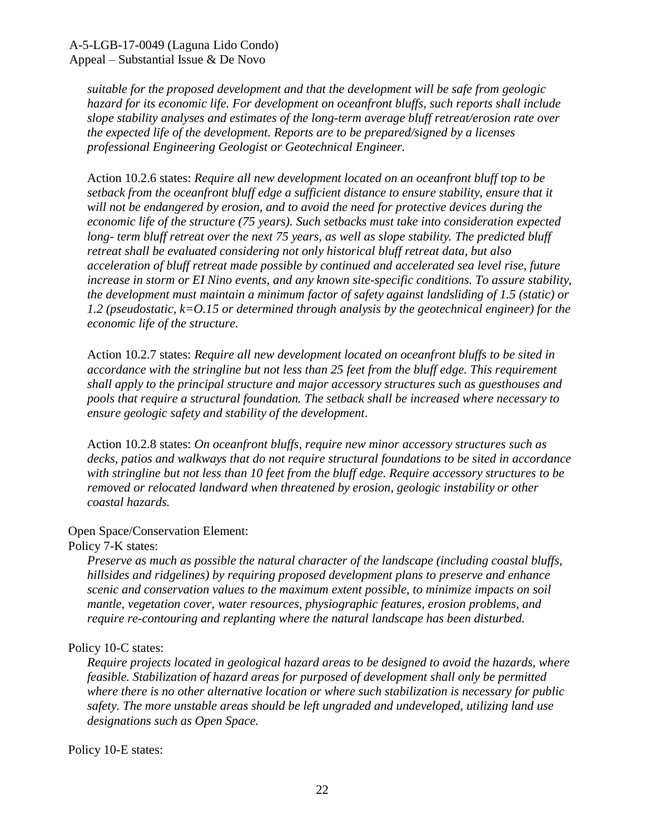*suitable for the proposed development and that the development will be safe from geologic hazard for its economic life. For development on oceanfront bluffs, such reports shall include slope stability analyses and estimates of the long-term average bluff retreat/erosion rate over the expected life of the development. Reports are to be prepared/signed by a licenses professional Engineering Geologist or Geotechnical Engineer.*

Action 10.2.6 states: *Require all new development located on an oceanfront bluff top to be setback from the oceanfront bluff edge a sufficient distance to ensure stability, ensure that it will not be endangered by erosion, and to avoid the need for protective devices during the economic life of the structure (75 years). Such setbacks must take into consideration expected long- term bluff retreat over the next 75 years, as well as slope stability. The predicted bluff retreat shall be evaluated considering not only historical bluff retreat data, but also acceleration of bluff retreat made possible by continued and accelerated sea level rise, future increase in storm or EI Nino events, and any known site-specific conditions. To assure stability, the development must maintain a minimum factor of safety against landsliding of 1.5 (static) or 1.2 (pseudostatic, k=O.15 or determined through analysis by the geotechnical engineer) for the economic life of the structure.*

Action 10.2.7 states: *Require all new development located on oceanfront bluffs to be sited in accordance with the stringline but not less than 25 feet from the bluff edge. This requirement shall apply to the principal structure and major accessory structures such as guesthouses and pools that require a structural foundation. The setback shall be increased where necessary to ensure geologic safety and stability of the development.*

Action 10.2.8 states: *On oceanfront bluffs, require new minor accessory structures such as decks, patios and walkways that do not require structural foundations to be sited in accordance with stringline but not less than 10 feet from the bluff edge. Require accessory structures to be removed or relocated landward when threatened by erosion, geologic instability or other coastal hazards.*

#### Open Space/Conservation Element:

#### Policy 7-K states:

*Preserve as much as possible the natural character of the landscape (including coastal bluffs, hillsides and ridgelines) by requiring proposed development plans to preserve and enhance scenic and conservation values to the maximum extent possible, to minimize impacts on soil mantle, vegetation cover, water resources, physiographic features, erosion problems, and require re-contouring and replanting where the natural landscape has been disturbed.*

#### Policy 10-C states:

*Require projects located in geological hazard areas to be designed to avoid the hazards, where feasible. Stabilization of hazard areas for purposed of development shall only be permitted where there is no other alternative location or where such stabilization is necessary for public safety. The more unstable areas should be left ungraded and undeveloped, utilizing land use designations such as Open Space.*

#### Policy 10-E states: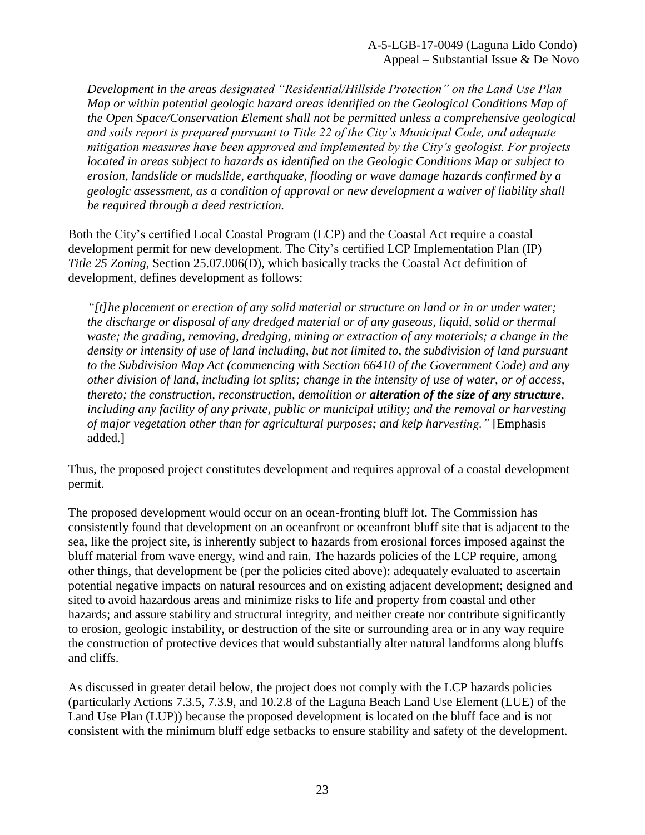*Development in the areas designated "Residential/Hillside Protection" on the Land Use Plan Map or within potential geologic hazard areas identified on the Geological Conditions Map of the Open Space/Conservation Element shall not be permitted unless a comprehensive geological and soils report is prepared pursuant to Title 22 of the City's Municipal Code, and adequate mitigation measures have been approved and implemented by the City's geologist. For projects located in areas subject to hazards as identified on the Geologic Conditions Map or subject to erosion, landslide or mudslide, earthquake, flooding or wave damage hazards confirmed by a geologic assessment, as a condition of approval or new development a waiver of liability shall be required through a deed restriction.*

Both the City's certified Local Coastal Program (LCP) and the Coastal Act require a coastal development permit for new development. The City's certified LCP Implementation Plan (IP) *Title 25 Zoning*, Section 25.07.006(D), which basically tracks the Coastal Act definition of development, defines development as follows:

*"[t]he placement or erection of any solid material or structure on land or in or under water; the discharge or disposal of any dredged material or of any gaseous, liquid, solid or thermal waste; the grading, removing, dredging, mining or extraction of any materials; a change in the density or intensity of use of land including, but not limited to, the subdivision of land pursuant to the Subdivision Map Act (commencing with Section 66410 of the Government Code) and any other division of land, including lot splits; change in the intensity of use of water, or of access, thereto; the construction, reconstruction, demolition or alteration of the size of any structure, including any facility of any private, public or municipal utility; and the removal or harvesting of major vegetation other than for agricultural purposes; and kelp harvesting."* [Emphasis added.]

Thus, the proposed project constitutes development and requires approval of a coastal development permit.

The proposed development would occur on an ocean-fronting bluff lot. The Commission has consistently found that development on an oceanfront or oceanfront bluff site that is adjacent to the sea, like the project site, is inherently subject to hazards from erosional forces imposed against the bluff material from wave energy, wind and rain. The hazards policies of the LCP require, among other things, that development be (per the policies cited above): adequately evaluated to ascertain potential negative impacts on natural resources and on existing adjacent development; designed and sited to avoid hazardous areas and minimize risks to life and property from coastal and other hazards; and assure stability and structural integrity, and neither create nor contribute significantly to erosion, geologic instability, or destruction of the site or surrounding area or in any way require the construction of protective devices that would substantially alter natural landforms along bluffs and cliffs.

As discussed in greater detail below, the project does not comply with the LCP hazards policies (particularly Actions 7.3.5, 7.3.9, and 10.2.8 of the Laguna Beach Land Use Element (LUE) of the Land Use Plan (LUP)) because the proposed development is located on the bluff face and is not consistent with the minimum bluff edge setbacks to ensure stability and safety of the development.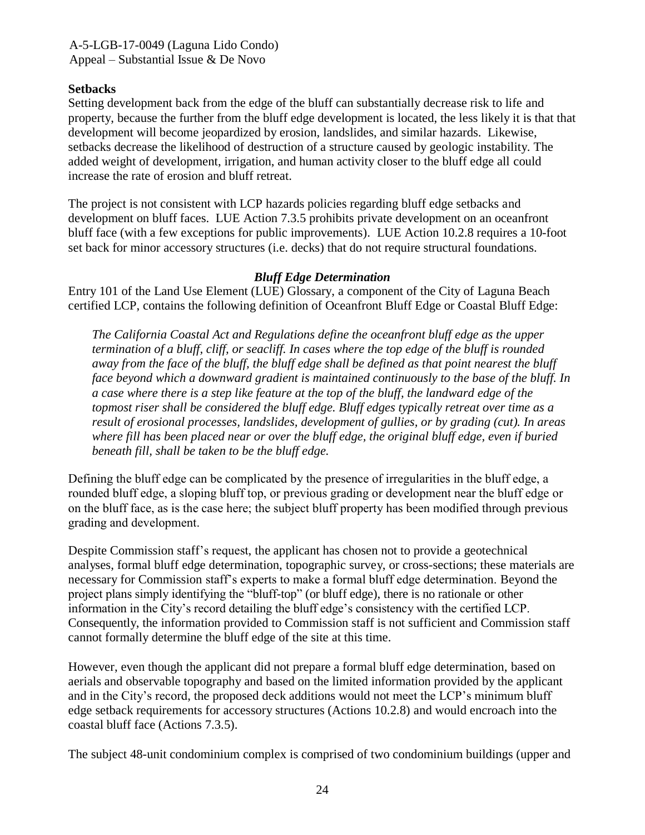### **Setbacks**

Setting development back from the edge of the bluff can substantially decrease risk to life and property, because the further from the bluff edge development is located, the less likely it is that that development will become jeopardized by erosion, landslides, and similar hazards. Likewise, setbacks decrease the likelihood of destruction of a structure caused by geologic instability. The added weight of development, irrigation, and human activity closer to the bluff edge all could increase the rate of erosion and bluff retreat.

The project is not consistent with LCP hazards policies regarding bluff edge setbacks and development on bluff faces. LUE Action 7.3.5 prohibits private development on an oceanfront bluff face (with a few exceptions for public improvements). LUE Action 10.2.8 requires a 10-foot set back for minor accessory structures (i.e. decks) that do not require structural foundations.

#### *Bluff Edge Determination*

Entry 101 of the Land Use Element (LUE) Glossary, a component of the City of Laguna Beach certified LCP, contains the following definition of Oceanfront Bluff Edge or Coastal Bluff Edge:

*The California Coastal Act and Regulations define the oceanfront bluff edge as the upper termination of a bluff, cliff, or seacliff. In cases where the top edge of the bluff is rounded away from the face of the bluff, the bluff edge shall be defined as that point nearest the bluff face beyond which a downward gradient is maintained continuously to the base of the bluff. In a case where there is a step like feature at the top of the bluff, the landward edge of the topmost riser shall be considered the bluff edge. Bluff edges typically retreat over time as a result of erosional processes, landslides, development of gullies, or by grading (cut). In areas where fill has been placed near or over the bluff edge, the original bluff edge, even if buried beneath fill, shall be taken to be the bluff edge.*

Defining the bluff edge can be complicated by the presence of irregularities in the bluff edge, a rounded bluff edge, a sloping bluff top, or previous grading or development near the bluff edge or on the bluff face, as is the case here; the subject bluff property has been modified through previous grading and development.

Despite Commission staff's request, the applicant has chosen not to provide a geotechnical analyses, formal bluff edge determination, topographic survey, or cross-sections; these materials are necessary for Commission staff's experts to make a formal bluff edge determination. Beyond the project plans simply identifying the "bluff-top" (or bluff edge), there is no rationale or other information in the City's record detailing the bluff edge's consistency with the certified LCP. Consequently, the information provided to Commission staff is not sufficient and Commission staff cannot formally determine the bluff edge of the site at this time.

However, even though the applicant did not prepare a formal bluff edge determination, based on aerials and observable topography and based on the limited information provided by the applicant and in the City's record, the proposed deck additions would not meet the LCP's minimum bluff edge setback requirements for accessory structures (Actions 10.2.8) and would encroach into the coastal bluff face (Actions 7.3.5).

The subject 48-unit condominium complex is comprised of two condominium buildings (upper and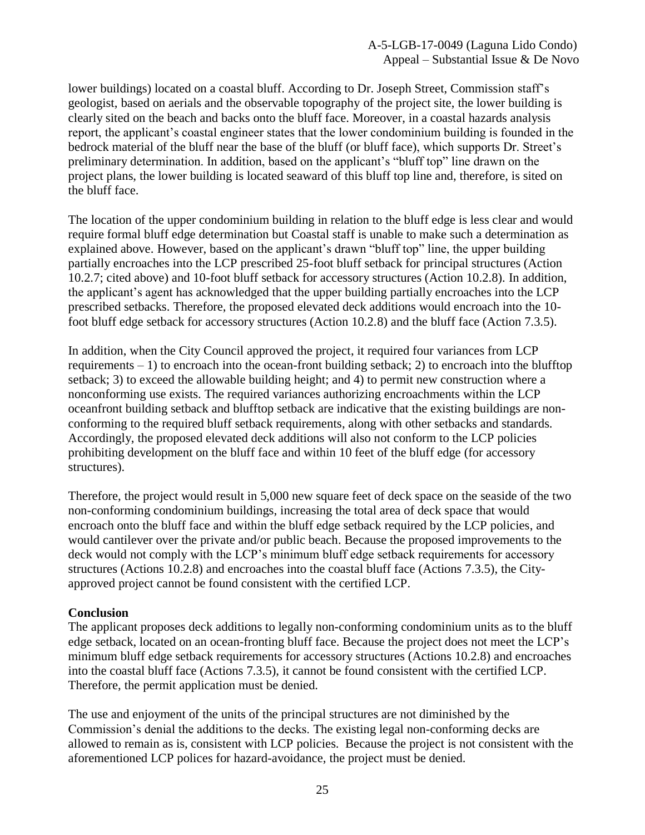lower buildings) located on a coastal bluff. According to Dr. Joseph Street, Commission staff's geologist, based on aerials and the observable topography of the project site, the lower building is clearly sited on the beach and backs onto the bluff face. Moreover, in a coastal hazards analysis report, the applicant's coastal engineer states that the lower condominium building is founded in the bedrock material of the bluff near the base of the bluff (or bluff face), which supports Dr. Street's preliminary determination. In addition, based on the applicant's "bluff top" line drawn on the project plans, the lower building is located seaward of this bluff top line and, therefore, is sited on the bluff face.

The location of the upper condominium building in relation to the bluff edge is less clear and would require formal bluff edge determination but Coastal staff is unable to make such a determination as explained above. However, based on the applicant's drawn "bluff top" line, the upper building partially encroaches into the LCP prescribed 25-foot bluff setback for principal structures (Action 10.2.7; cited above) and 10-foot bluff setback for accessory structures (Action 10.2.8). In addition, the applicant's agent has acknowledged that the upper building partially encroaches into the LCP prescribed setbacks. Therefore, the proposed elevated deck additions would encroach into the 10 foot bluff edge setback for accessory structures (Action 10.2.8) and the bluff face (Action 7.3.5).

In addition, when the City Council approved the project, it required four variances from LCP requirements – 1) to encroach into the ocean-front building setback; 2) to encroach into the blufftop setback; 3) to exceed the allowable building height; and 4) to permit new construction where a nonconforming use exists. The required variances authorizing encroachments within the LCP oceanfront building setback and blufftop setback are indicative that the existing buildings are nonconforming to the required bluff setback requirements, along with other setbacks and standards. Accordingly, the proposed elevated deck additions will also not conform to the LCP policies prohibiting development on the bluff face and within 10 feet of the bluff edge (for accessory structures).

Therefore, the project would result in 5,000 new square feet of deck space on the seaside of the two non-conforming condominium buildings, increasing the total area of deck space that would encroach onto the bluff face and within the bluff edge setback required by the LCP policies, and would cantilever over the private and/or public beach. Because the proposed improvements to the deck would not comply with the LCP's minimum bluff edge setback requirements for accessory structures (Actions 10.2.8) and encroaches into the coastal bluff face (Actions 7.3.5), the Cityapproved project cannot be found consistent with the certified LCP.

#### **Conclusion**

The applicant proposes deck additions to legally non-conforming condominium units as to the bluff edge setback, located on an ocean-fronting bluff face. Because the project does not meet the LCP's minimum bluff edge setback requirements for accessory structures (Actions 10.2.8) and encroaches into the coastal bluff face (Actions 7.3.5), it cannot be found consistent with the certified LCP. Therefore, the permit application must be denied.

The use and enjoyment of the units of the principal structures are not diminished by the Commission's denial the additions to the decks. The existing legal non-conforming decks are allowed to remain as is, consistent with LCP policies. Because the project is not consistent with the aforementioned LCP polices for hazard-avoidance, the project must be denied.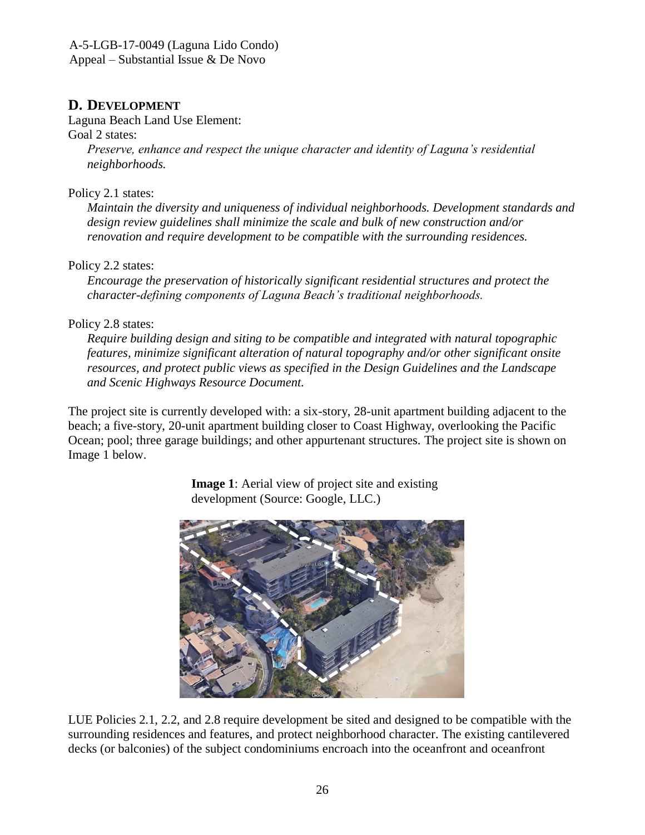## <span id="page-25-0"></span>**D. DEVELOPMENT**

Laguna Beach Land Use Element:

### Goal 2 states:

*Preserve, enhance and respect the unique character and identity of Laguna's residential neighborhoods.*

## Policy 2.1 states:

*Maintain the diversity and uniqueness of individual neighborhoods. Development standards and design review guidelines shall minimize the scale and bulk of new construction and/or renovation and require development to be compatible with the surrounding residences.*

## Policy 2.2 states:

*Encourage the preservation of historically significant residential structures and protect the character-defining components of Laguna Beach's traditional neighborhoods.*

## Policy 2.8 states:

*Require building design and siting to be compatible and integrated with natural topographic features, minimize significant alteration of natural topography and/or other significant onsite resources, and protect public views as specified in the Design Guidelines and the Landscape and Scenic Highways Resource Document.*

The project site is currently developed with: a six-story, 28-unit apartment building adjacent to the beach; a five-story, 20-unit apartment building closer to Coast Highway, overlooking the Pacific Ocean; pool; three garage buildings; and other appurtenant structures. The project site is shown on Image 1 below.



**Image 1**: Aerial view of project site and existing development (Source: Google, LLC.)

LUE Policies 2.1, 2.2, and 2.8 require development be sited and designed to be compatible with the surrounding residences and features, and protect neighborhood character. The existing cantilevered decks (or balconies) of the subject condominiums encroach into the oceanfront and oceanfront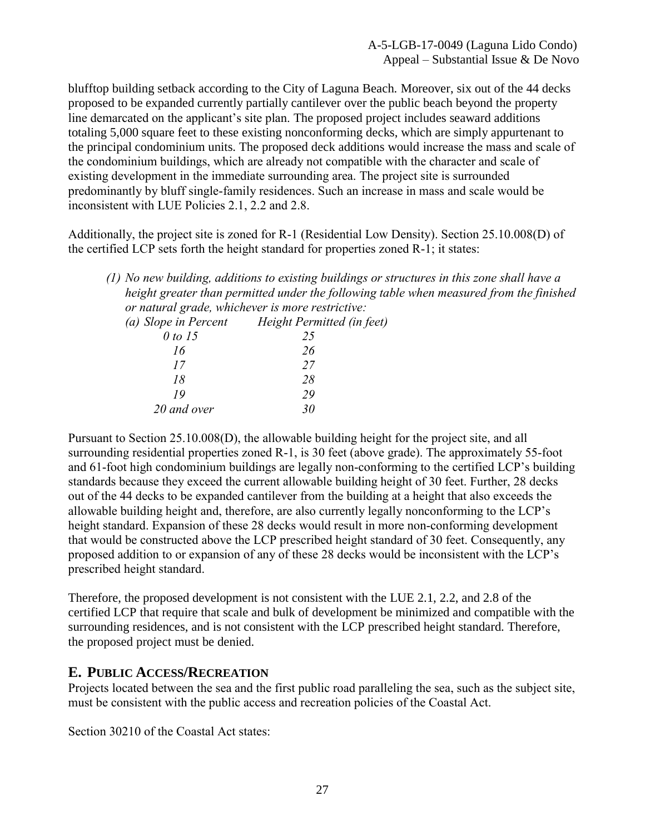blufftop building setback according to the City of Laguna Beach. Moreover, six out of the 44 decks proposed to be expanded currently partially cantilever over the public beach beyond the property line demarcated on the applicant's site plan. The proposed project includes seaward additions totaling 5,000 square feet to these existing nonconforming decks, which are simply appurtenant to the principal condominium units. The proposed deck additions would increase the mass and scale of the condominium buildings, which are already not compatible with the character and scale of existing development in the immediate surrounding area. The project site is surrounded predominantly by bluff single-family residences. Such an increase in mass and scale would be inconsistent with LUE Policies 2.1, 2.2 and 2.8.

Additionally, the project site is zoned for R-1 (Residential Low Density). Section 25.10.008(D) of the certified LCP sets forth the height standard for properties zoned R-1; it states:

*<sup>(1)</sup> No new building, additions to existing buildings or structures in this zone shall have a height greater than permitted under the following table when measured from the finished or natural grade, whichever is more restrictive:*

| (a) Slope in Percent | Height Permitted (in feet) |
|----------------------|----------------------------|
| 0 to 15              | 25                         |
| 16                   | 26                         |
| 17                   | 27                         |
| 18                   | 28                         |
| 19                   | 29                         |
| 20 and over          | RΩ                         |

Pursuant to Section 25.10.008(D), the allowable building height for the project site, and all surrounding residential properties zoned R-1, is 30 feet (above grade). The approximately 55-foot and 61-foot high condominium buildings are legally non-conforming to the certified LCP's building standards because they exceed the current allowable building height of 30 feet. Further, 28 decks out of the 44 decks to be expanded cantilever from the building at a height that also exceeds the allowable building height and, therefore, are also currently legally nonconforming to the LCP's height standard. Expansion of these 28 decks would result in more non-conforming development that would be constructed above the LCP prescribed height standard of 30 feet. Consequently, any proposed addition to or expansion of any of these 28 decks would be inconsistent with the LCP's prescribed height standard.

Therefore, the proposed development is not consistent with the LUE 2.1, 2.2, and 2.8 of the certified LCP that require that scale and bulk of development be minimized and compatible with the surrounding residences, and is not consistent with the LCP prescribed height standard. Therefore, the proposed project must be denied.

## <span id="page-26-0"></span>**E. PUBLIC ACCESS/RECREATION**

Projects located between the sea and the first public road paralleling the sea, such as the subject site, must be consistent with the public access and recreation policies of the Coastal Act.

Section 30210 of the Coastal Act states: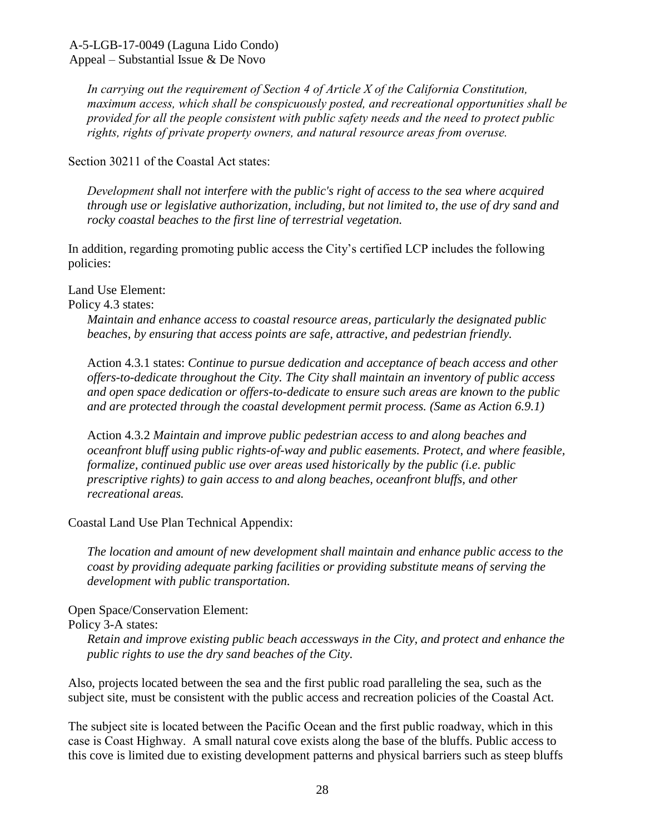*In carrying out the requirement of Section 4 of Article X of the California Constitution, maximum access, which shall be conspicuously posted, and recreational opportunities shall be provided for all the people consistent with public safety needs and the need to protect public rights, rights of private property owners, and natural resource areas from overuse.*

Section 30211 of the Coastal Act states:

*Development shall not interfere with the public's right of access to the sea where acquired through use or legislative authorization, including, but not limited to, the use of dry sand and rocky coastal beaches to the first line of terrestrial vegetation.*

In addition, regarding promoting public access the City's certified LCP includes the following policies:

Land Use Element:

Policy 4.3 states:

*Maintain and enhance access to coastal resource areas, particularly the designated public beaches, by ensuring that access points are safe, attractive, and pedestrian friendly.* 

Action 4.3.1 states: *Continue to pursue dedication and acceptance of beach access and other offers-to-dedicate throughout the City. The City shall maintain an inventory of public access and open space dedication or offers-to-dedicate to ensure such areas are known to the public and are protected through the coastal development permit process. (Same as Action 6.9.1)*

Action 4.3.2 *Maintain and improve public pedestrian access to and along beaches and oceanfront bluff using public rights-of-way and public easements. Protect, and where feasible, formalize, continued public use over areas used historically by the public (i.e. public prescriptive rights) to gain access to and along beaches, oceanfront bluffs, and other recreational areas.*

Coastal Land Use Plan Technical Appendix:

*The location and amount of new development shall maintain and enhance public access to the coast by providing adequate parking facilities or providing substitute means of serving the development with public transportation.*

Open Space/Conservation Element:

Policy 3-A states:

*Retain and improve existing public beach accessways in the City, and protect and enhance the public rights to use the dry sand beaches of the City.*

Also, projects located between the sea and the first public road paralleling the sea, such as the subject site, must be consistent with the public access and recreation policies of the Coastal Act.

The subject site is located between the Pacific Ocean and the first public roadway, which in this case is Coast Highway. A small natural cove exists along the base of the bluffs. Public access to this cove is limited due to existing development patterns and physical barriers such as steep bluffs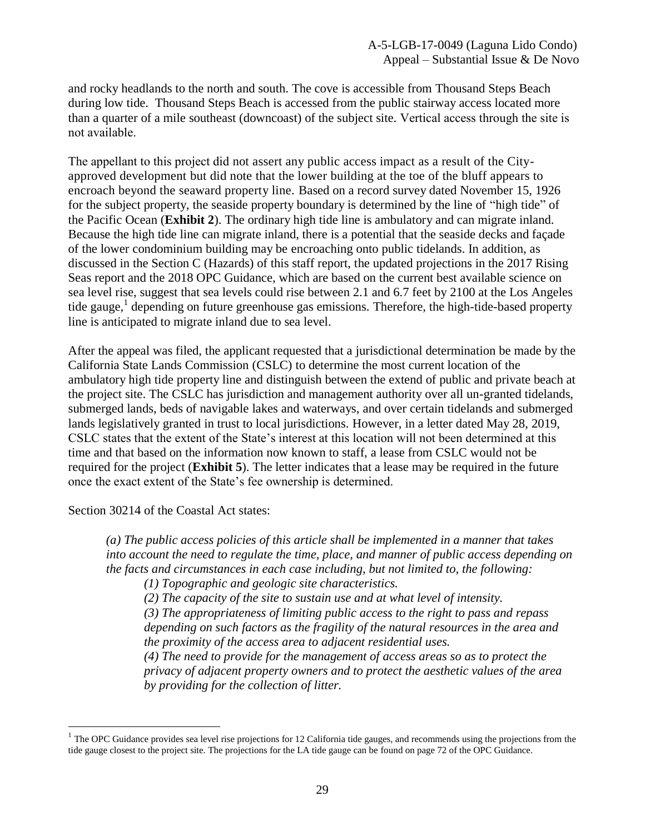and rocky headlands to the north and south. The cove is accessible from Thousand Steps Beach during low tide. Thousand Steps Beach is accessed from the public stairway access located more than a quarter of a mile southeast (downcoast) of the subject site. Vertical access through the site is not available.

The appellant to this project did not assert any public access impact as a result of the Cityapproved development but did note that the lower building at the toe of the bluff appears to encroach beyond the seaward property line. Based on a record survey dated November 15, 1926 for the subject property, the seaside property boundary is determined by the line of "high tide" of the Pacific Ocean (**[Exhibit 2](https://documents.coastal.ca.gov/reports/2019/9/W25a/W25a-9-2019-exhibits.pdf)**). The ordinary high tide line is ambulatory and can migrate inland. Because the high tide line can migrate inland, there is a potential that the seaside decks and façade of the lower condominium building may be encroaching onto public tidelands. In addition, as discussed in the Section C (Hazards) of this staff report, the updated projections in the 2017 Rising Seas report and the 2018 OPC Guidance, which are based on the current best available science on sea level rise, suggest that sea levels could rise between 2.1 and 6.7 feet by 2100 at the Los Angeles tide gauge,<sup>1</sup> depending on future greenhouse gas emissions. Therefore, the high-tide-based property line is anticipated to migrate inland due to sea level.

After the appeal was filed, the applicant requested that a jurisdictional determination be made by the California State Lands Commission (CSLC) to determine the most current location of the ambulatory high tide property line and distinguish between the extend of public and private beach at the project site. The CSLC has jurisdiction and management authority over all un-granted tidelands, submerged lands, beds of navigable lakes and waterways, and over certain tidelands and submerged lands legislatively granted in trust to local jurisdictions. However, in a letter dated May 28, 2019, CSLC states that the extent of the State's interest at this location will not been determined at this time and that based on the information now known to staff, a lease from CSLC would not be required for the project (**[Exhibit 5](https://documents.coastal.ca.gov/reports/2019/9/W25a/W25a-9-2019-exhibits.pdf)**). The letter indicates that a lease may be required in the future once the exact extent of the State's fee ownership is determined.

Section 30214 of the Coastal Act states:

 $\overline{a}$ 

*(a) The public access policies of this article shall be implemented in a manner that takes into account the need to regulate the time, place, and manner of public access depending on the facts and circumstances in each case including, but not limited to, the following:* 

*(1) Topographic and geologic site characteristics.* 

*(2) The capacity of the site to sustain use and at what level of intensity.* 

*(3) The appropriateness of limiting public access to the right to pass and repass depending on such factors as the fragility of the natural resources in the area and the proximity of the access area to adjacent residential uses.* 

*(4) The need to provide for the management of access areas so as to protect the privacy of adjacent property owners and to protect the aesthetic values of the area by providing for the collection of litter.* 

 $1$  The OPC Guidance provides sea level rise projections for 12 California tide gauges, and recommends using the projections from the tide gauge closest to the project site. The projections for the LA tide gauge can be found on page 72 of the OPC Guidance.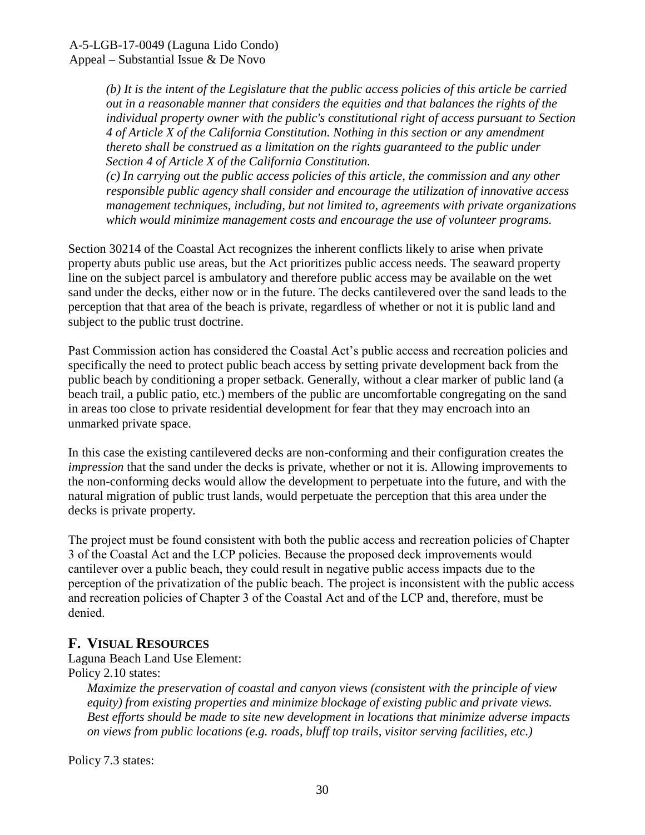*(b) It is the intent of the Legislature that the public access policies of this article be carried out in a reasonable manner that considers the equities and that balances the rights of the individual property owner with the public's constitutional right of access pursuant to Section 4 of Article X of the California Constitution. Nothing in this section or any amendment thereto shall be construed as a limitation on the rights guaranteed to the public under Section 4 of Article X of the California Constitution.* 

*(c) In carrying out the public access policies of this article, the commission and any other responsible public agency shall consider and encourage the utilization of innovative access management techniques, including, but not limited to, agreements with private organizations which would minimize management costs and encourage the use of volunteer programs.* 

Section 30214 of the Coastal Act recognizes the inherent conflicts likely to arise when private property abuts public use areas, but the Act prioritizes public access needs. The seaward property line on the subject parcel is ambulatory and therefore public access may be available on the wet sand under the decks, either now or in the future. The decks cantilevered over the sand leads to the perception that that area of the beach is private, regardless of whether or not it is public land and subject to the public trust doctrine.

Past Commission action has considered the Coastal Act's public access and recreation policies and specifically the need to protect public beach access by setting private development back from the public beach by conditioning a proper setback. Generally, without a clear marker of public land (a beach trail, a public patio, etc.) members of the public are uncomfortable congregating on the sand in areas too close to private residential development for fear that they may encroach into an unmarked private space.

In this case the existing cantilevered decks are non-conforming and their configuration creates the *impression* that the sand under the decks is private, whether or not it is. Allowing improvements to the non-conforming decks would allow the development to perpetuate into the future, and with the natural migration of public trust lands, would perpetuate the perception that this area under the decks is private property.

The project must be found consistent with both the public access and recreation policies of Chapter 3 of the Coastal Act and the LCP policies. Because the proposed deck improvements would cantilever over a public beach, they could result in negative public access impacts due to the perception of the privatization of the public beach. The project is inconsistent with the public access and recreation policies of Chapter 3 of the Coastal Act and of the LCP and, therefore, must be denied.

## <span id="page-29-0"></span>**F. VISUAL RESOURCES**

Laguna Beach Land Use Element:

Policy 2.10 states:

*Maximize the preservation of coastal and canyon views (consistent with the principle of view equity) from existing properties and minimize blockage of existing public and private views. Best efforts should be made to site new development in locations that minimize adverse impacts on views from public locations (e.g. roads, bluff top trails, visitor serving facilities, etc.)*

Policy 7.3 states: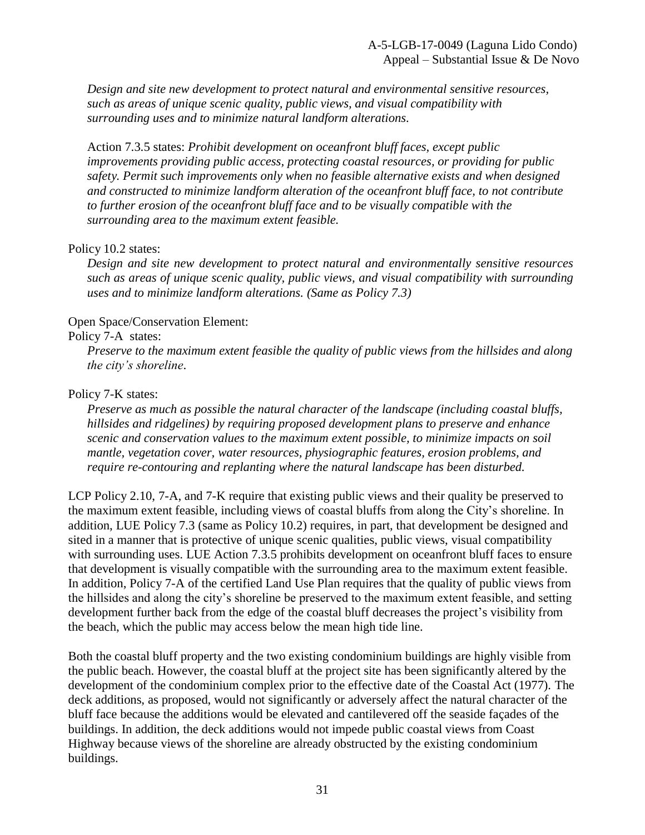*Design and site new development to protect natural and environmental sensitive resources, such as areas of unique scenic quality, public views, and visual compatibility with surrounding uses and to minimize natural landform alterations.*

Action 7.3.5 states: *Prohibit development on oceanfront bluff faces, except public improvements providing public access, protecting coastal resources, or providing for public safety. Permit such improvements only when no feasible alternative exists and when designed and constructed to minimize landform alteration of the oceanfront bluff face, to not contribute to further erosion of the oceanfront bluff face and to be visually compatible with the surrounding area to the maximum extent feasible.*

#### Policy 10.2 states:

*Design and site new development to protect natural and environmentally sensitive resources such as areas of unique scenic quality, public views, and visual compatibility with surrounding uses and to minimize landform alterations. (Same as Policy 7.3)*

#### Open Space/Conservation Element:

#### Policy 7-A states:

*Preserve to the maximum extent feasible the quality of public views from the hillsides and along the city's shoreline*.

#### Policy 7-K states:

*Preserve as much as possible the natural character of the landscape (including coastal bluffs, hillsides and ridgelines) by requiring proposed development plans to preserve and enhance scenic and conservation values to the maximum extent possible, to minimize impacts on soil mantle, vegetation cover, water resources, physiographic features, erosion problems, and require re-contouring and replanting where the natural landscape has been disturbed.*

LCP Policy 2.10, 7-A, and 7-K require that existing public views and their quality be preserved to the maximum extent feasible, including views of coastal bluffs from along the City's shoreline. In addition, LUE Policy 7.3 (same as Policy 10.2) requires, in part, that development be designed and sited in a manner that is protective of unique scenic qualities, public views, visual compatibility with surrounding uses. LUE Action 7.3.5 prohibits development on oceanfront bluff faces to ensure that development is visually compatible with the surrounding area to the maximum extent feasible. In addition, Policy 7-A of the certified Land Use Plan requires that the quality of public views from the hillsides and along the city's shoreline be preserved to the maximum extent feasible, and setting development further back from the edge of the coastal bluff decreases the project's visibility from the beach, which the public may access below the mean high tide line.

Both the coastal bluff property and the two existing condominium buildings are highly visible from the public beach. However, the coastal bluff at the project site has been significantly altered by the development of the condominium complex prior to the effective date of the Coastal Act (1977). The deck additions, as proposed, would not significantly or adversely affect the natural character of the bluff face because the additions would be elevated and cantilevered off the seaside façades of the buildings. In addition, the deck additions would not impede public coastal views from Coast Highway because views of the shoreline are already obstructed by the existing condominium buildings.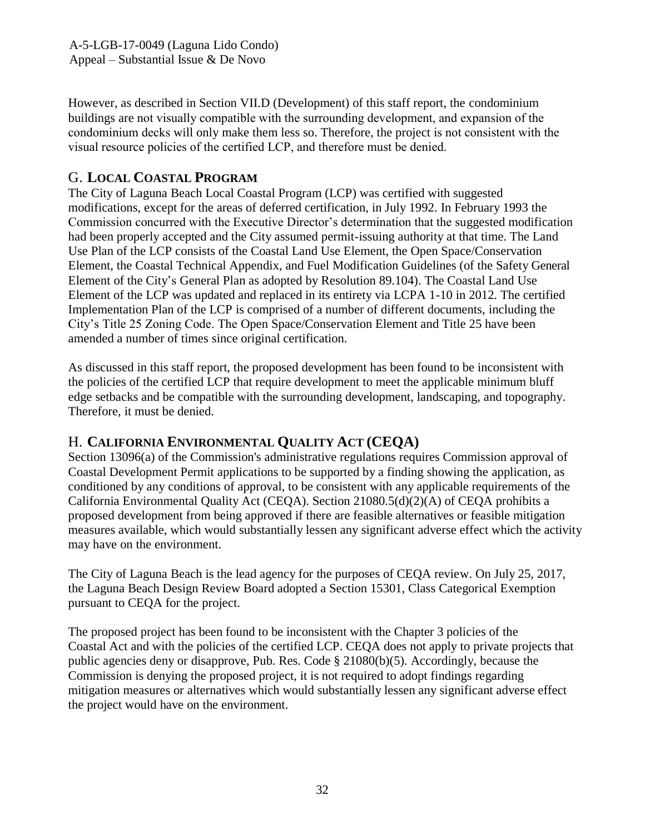However, as described in Section VII.D (Development) of this staff report, the condominium buildings are not visually compatible with the surrounding development, and expansion of the condominium decks will only make them less so. Therefore, the project is not consistent with the visual resource policies of the certified LCP, and therefore must be denied.

## <span id="page-31-0"></span>G. **LOCAL COASTAL PROGRAM**

The City of Laguna Beach Local Coastal Program (LCP) was certified with suggested modifications, except for the areas of deferred certification, in July 1992. In February 1993 the Commission concurred with the Executive Director's determination that the suggested modification had been properly accepted and the City assumed permit-issuing authority at that time. The Land Use Plan of the LCP consists of the Coastal Land Use Element, the Open Space/Conservation Element, the Coastal Technical Appendix, and Fuel Modification Guidelines (of the Safety General Element of the City's General Plan as adopted by Resolution 89.104). The Coastal Land Use Element of the LCP was updated and replaced in its entirety via LCPA 1-10 in 2012. The certified Implementation Plan of the LCP is comprised of a number of different documents, including the City's Title 25 Zoning Code. The Open Space/Conservation Element and Title 25 have been amended a number of times since original certification.

As discussed in this staff report, the proposed development has been found to be inconsistent with the policies of the certified LCP that require development to meet the applicable minimum bluff edge setbacks and be compatible with the surrounding development, landscaping, and topography. Therefore, it must be denied.

## <span id="page-31-1"></span>H. **CALIFORNIA ENVIRONMENTAL QUALITY ACT (CEQA)**

Section 13096(a) of the Commission's administrative regulations requires Commission approval of Coastal Development Permit applications to be supported by a finding showing the application, as conditioned by any conditions of approval, to be consistent with any applicable requirements of the California Environmental Quality Act (CEQA). Section 21080.5(d)(2)(A) of CEQA prohibits a proposed development from being approved if there are feasible alternatives or feasible mitigation measures available, which would substantially lessen any significant adverse effect which the activity may have on the environment.

The City of Laguna Beach is the lead agency for the purposes of CEQA review. On July 25, 2017, the Laguna Beach Design Review Board adopted a Section 15301, Class Categorical Exemption pursuant to CEQA for the project.

The proposed project has been found to be inconsistent with the Chapter 3 policies of the Coastal Act and with the policies of the certified LCP. CEQA does not apply to private projects that public agencies deny or disapprove, Pub. Res. Code § 21080(b)(5). Accordingly, because the Commission is denying the proposed project, it is not required to adopt findings regarding mitigation measures or alternatives which would substantially lessen any significant adverse effect the project would have on the environment.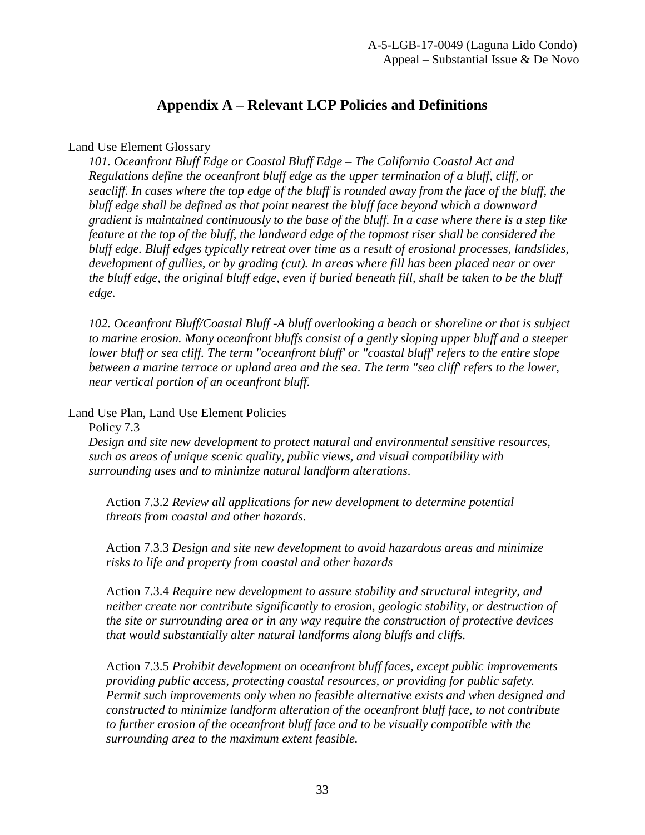# **Appendix A – Relevant LCP Policies and Definitions**

### <span id="page-32-0"></span>Land Use Element Glossary

*101. Oceanfront Bluff Edge or Coastal Bluff Edge – The California Coastal Act and Regulations define the oceanfront bluff edge as the upper termination of a bluff, cliff, or seacliff. In cases where the top edge of the bluff is rounded away from the face of the bluff, the bluff edge shall be defined as that point nearest the bluff face beyond which a downward gradient is maintained continuously to the base of the bluff. In a case where there is a step like feature at the top of the bluff, the landward edge of the topmost riser shall be considered the bluff edge. Bluff edges typically retreat over time as a result of erosional processes, landslides, development of gullies, or by grading (cut). In areas where fill has been placed near or over the bluff edge, the original bluff edge, even if buried beneath fill, shall be taken to be the bluff edge.*

*102. Oceanfront Bluff/Coastal Bluff -A bluff overlooking a beach or shoreline or that is subject to marine erosion. Many oceanfront bluffs consist of a gently sloping upper bluff and a steeper lower bluff or sea cliff. The term "oceanfront bluff' or "coastal bluff' refers to the entire slope between a marine terrace or upland area and the sea. The term "sea cliff' refers to the lower, near vertical portion of an oceanfront bluff.*

Land Use Plan, Land Use Element Policies –

Policy 7.3

*Design and site new development to protect natural and environmental sensitive resources, such as areas of unique scenic quality, public views, and visual compatibility with surrounding uses and to minimize natural landform alterations.*

Action 7.3.2 *Review all applications for new development to determine potential threats from coastal and other hazards.*

Action 7.3.3 *Design and site new development to avoid hazardous areas and minimize risks to life and property from coastal and other hazards*

Action 7.3.4 *Require new development to assure stability and structural integrity, and neither create nor contribute significantly to erosion, geologic stability, or destruction of the site or surrounding area or in any way require the construction of protective devices that would substantially alter natural landforms along bluffs and cliffs.*

Action 7.3.5 *Prohibit development on oceanfront bluff faces, except public improvements providing public access, protecting coastal resources, or providing for public safety. Permit such improvements only when no feasible alternative exists and when designed and constructed to minimize landform alteration of the oceanfront bluff face, to not contribute to further erosion of the oceanfront bluff face and to be visually compatible with the surrounding area to the maximum extent feasible.*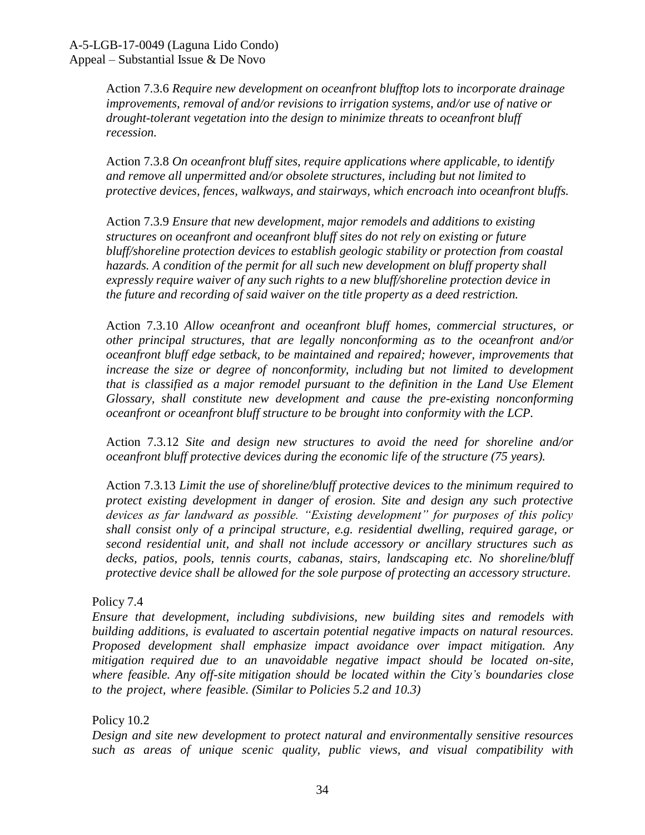Action 7.3.6 *Require new development on oceanfront blufftop lots to incorporate drainage improvements, removal of and/or revisions to irrigation systems, and/or use of native or drought-tolerant vegetation into the design to minimize threats to oceanfront bluff recession.*

Action 7.3.8 *On oceanfront bluff sites, require applications where applicable, to identify and remove all unpermitted and/or obsolete structures, including but not limited to protective devices, fences, walkways, and stairways, which encroach into oceanfront bluffs.*

Action 7.3.9 *Ensure that new development, major remodels and additions to existing structures on oceanfront and oceanfront bluff sites do not rely on existing or future bluff/shoreline protection devices to establish geologic stability or protection from coastal hazards. A condition of the permit for all such new development on bluff property shall expressly require waiver of any such rights to a new bluff/shoreline protection device in the future and recording of said waiver on the title property as a deed restriction.*

Action 7.3.10 *Allow oceanfront and oceanfront bluff homes, commercial structures, or other principal structures, that are legally nonconforming as to the oceanfront and/or oceanfront bluff edge setback, to be maintained and repaired; however, improvements that increase the size or degree of nonconformity, including but not limited to development that is classified as a major remodel pursuant to the definition in the Land Use Element Glossary, shall constitute new development and cause the pre-existing nonconforming oceanfront or oceanfront bluff structure to be brought into conformity with the LCP.*

Action 7.3.12 *Site and design new structures to avoid the need for shoreline and/or oceanfront bluff protective devices during the economic life of the structure (75 years).* 

Action 7.3.13 *Limit the use of shoreline/bluff protective devices to the minimum required to protect existing development in danger of erosion. Site and design any such protective devices as far landward as possible. "Existing development" for purposes of this policy shall consist only of a principal structure, e.g. residential dwelling, required garage, or second residential unit, and shall not include accessory or ancillary structures such as decks, patios, pools, tennis courts, cabanas, stairs, landscaping etc. No shoreline/bluff protective device shall be allowed for the sole purpose of protecting an accessory structure.*

#### Policy 7.4

*Ensure that development, including subdivisions, new building sites and remodels with building additions, is evaluated to ascertain potential negative impacts on natural resources. Proposed development shall emphasize impact avoidance over impact mitigation. Any mitigation required due to an unavoidable negative impact should be located on-site, where feasible. Any off-site mitigation should be located within the City's boundaries close to the project, where feasible. (Similar to Policies 5.2 and 10.3)*

Policy 10.2

*Design and site new development to protect natural and environmentally sensitive resources such as areas of unique scenic quality, public views, and visual compatibility with*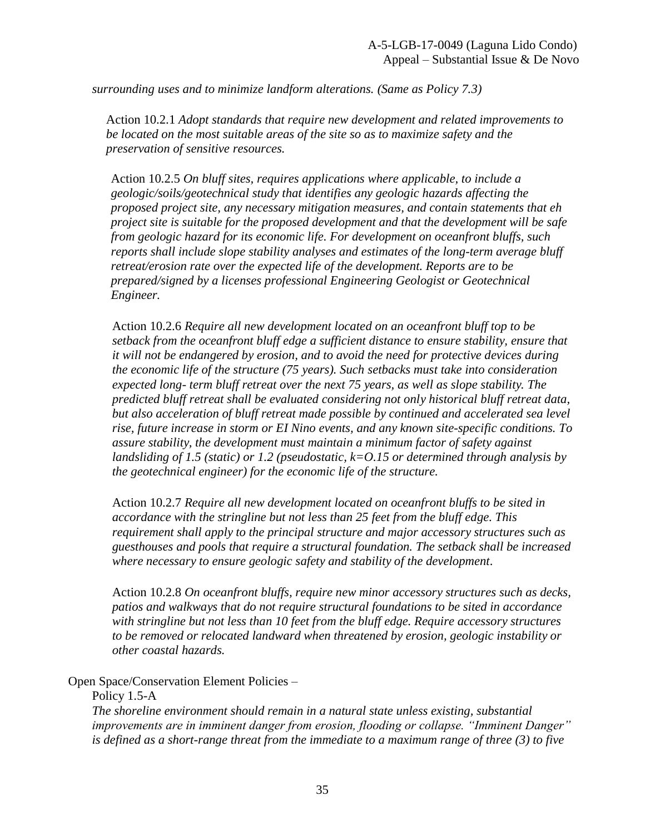*surrounding uses and to minimize landform alterations. (Same as Policy 7.3)*

Action 10.2.1 *Adopt standards that require new development and related improvements to be located on the most suitable areas of the site so as to maximize safety and the preservation of sensitive resources.* 

Action 10.2.5 *On bluff sites, requires applications where applicable, to include a geologic/soils/geotechnical study that identifies any geologic hazards affecting the proposed project site, any necessary mitigation measures, and contain statements that eh project site is suitable for the proposed development and that the development will be safe from geologic hazard for its economic life. For development on oceanfront bluffs, such reports shall include slope stability analyses and estimates of the long-term average bluff retreat/erosion rate over the expected life of the development. Reports are to be prepared/signed by a licenses professional Engineering Geologist or Geotechnical Engineer.*

Action 10.2.6 *Require all new development located on an oceanfront bluff top to be setback from the oceanfront bluff edge a sufficient distance to ensure stability, ensure that it will not be endangered by erosion, and to avoid the need for protective devices during the economic life of the structure (75 years). Such setbacks must take into consideration expected long- term bluff retreat over the next 75 years, as well as slope stability. The predicted bluff retreat shall be evaluated considering not only historical bluff retreat data, but also acceleration of bluff retreat made possible by continued and accelerated sea level rise, future increase in storm or EI Nino events, and any known site-specific conditions. To assure stability, the development must maintain a minimum factor of safety against landsliding of 1.5 (static) or 1.2 (pseudostatic, k=O.15 or determined through analysis by the geotechnical engineer) for the economic life of the structure.*

Action 10.2.7 *Require all new development located on oceanfront bluffs to be sited in accordance with the stringline but not less than 25 feet from the bluff edge. This requirement shall apply to the principal structure and major accessory structures such as guesthouses and pools that require a structural foundation. The setback shall be increased where necessary to ensure geologic safety and stability of the development.*

Action 10.2.8 *On oceanfront bluffs, require new minor accessory structures such as decks, patios and walkways that do not require structural foundations to be sited in accordance with stringline but not less than 10 feet from the bluff edge. Require accessory structures to be removed or relocated landward when threatened by erosion, geologic instability or other coastal hazards.*

Open Space/Conservation Element Policies –

Policy 1.5-A

*The shoreline environment should remain in a natural state unless existing, substantial improvements are in imminent danger from erosion, flooding or collapse. "Imminent Danger" is defined as a short-range threat from the immediate to a maximum range of three (3) to five*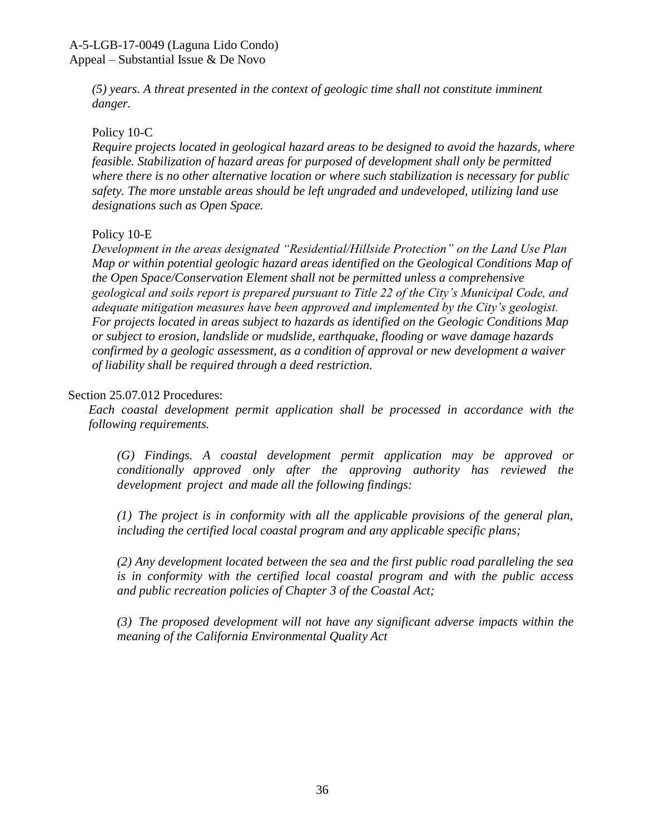*(5) years. A threat presented in the context of geologic time shall not constitute imminent danger.*

### Policy 10-C

*Require projects located in geological hazard areas to be designed to avoid the hazards, where feasible. Stabilization of hazard areas for purposed of development shall only be permitted where there is no other alternative location or where such stabilization is necessary for public safety. The more unstable areas should be left ungraded and undeveloped, utilizing land use designations such as Open Space.*

### Policy 10-E

*Development in the areas designated "Residential/Hillside Protection" on the Land Use Plan Map or within potential geologic hazard areas identified on the Geological Conditions Map of the Open Space/Conservation Element shall not be permitted unless a comprehensive geological and soils report is prepared pursuant to Title 22 of the City's Municipal Code, and adequate mitigation measures have been approved and implemented by the City's geologist. For projects located in areas subject to hazards as identified on the Geologic Conditions Map or subject to erosion, landslide or mudslide, earthquake, flooding or wave damage hazards confirmed by a geologic assessment, as a condition of approval or new development a waiver of liability shall be required through a deed restriction.*

### Section 25.07.012 Procedures:

*Each coastal development permit application shall be processed in accordance with the following requirements.*

*(G) Findings. A coastal development permit application may be approved or conditionally approved only after the approving authority has reviewed the development project and made all the following findings:*

*(1) The project is in conformity with all the applicable provisions of the general plan, including the certified local coastal program and any applicable specific plans;*

*(2) Any development located between the sea and the first public road paralleling the sea is in conformity with the certified local coastal program and with the public access and public recreation policies of Chapter 3 of the Coastal Act;*

*(3) The proposed development will not have any significant adverse impacts within the meaning of the California Environmental Quality Act*